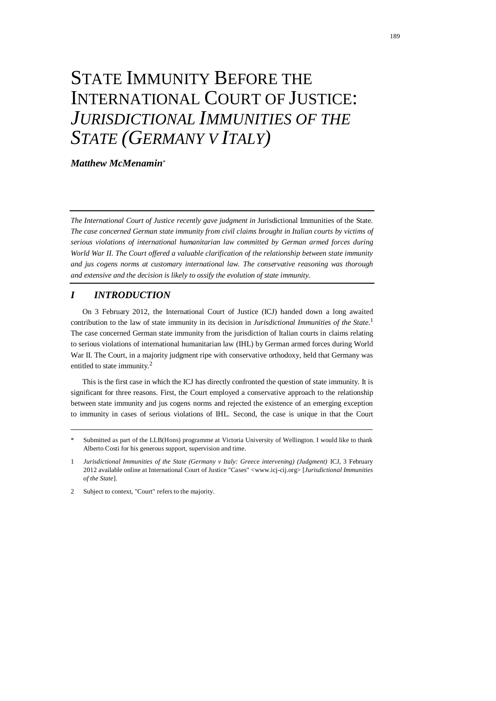# STATE IMMUNITY BEFORE THE INTERNATIONAL COURT OF JUSTICE: *JURISDICTIONAL IMMUNITIES OF THE STATE (GERMANY V ITALY)*

*Matthew McMenamin*\*

*The International Court of Justice recently gave judgment in* Jurisdictional Immunities of the State*. The case concerned German state immunity from civil claims brought in Italian courts by victims of serious violations of international humanitarian law committed by German armed forces during World War II. The Court offered a valuable clarification of the relationship between state immunity and jus cogens norms at customary international law. The conservative reasoning was thorough and extensive and the decision is likely to ossify the evolution of state immunity.*

# *I INTRODUCTION*

<span id="page-0-0"></span>On 3 February 2012, the International Court of Justice (ICJ) handed down a long awaited contribution to the law of state immunity in its decision in *Jurisdictional Immunities of the State*. 1 The case concerned German state immunity from the jurisdiction of Italian courts in claims relating to serious violations of international humanitarian law (IHL) by German armed forces during World War II. The Court, in a majority judgment ripe with conservative orthodoxy, held that Germany was entitled to state immunity.<sup>2</sup>

This is the first case in which the ICJ has directly confronted the question of state immunity. It is significant for three reasons. First, the Court employed a conservative approach to the relationship between state immunity and jus cogens norms and rejected the existence of an emerging exception to immunity in cases of serious violations of IHL. Second, the case is unique in that the Court

Submitted as part of the LLB(Hons) programme at Victoria University of Wellington. I would like to thank Alberto Costi for his generous support, supervision and time.

<sup>1</sup> *Jurisdictional Immunities of the State (Germany v Italy: Greece intervening) (Judgment)* ICJ, 3 February 2012 available online at International Court of Justice "Cases" [<www.icj-cij.org>](http://www.icj-cij.org/) [*Jurisdictional Immunities of the State*].

<sup>2</sup> Subject to context, "Court" refers to the majority.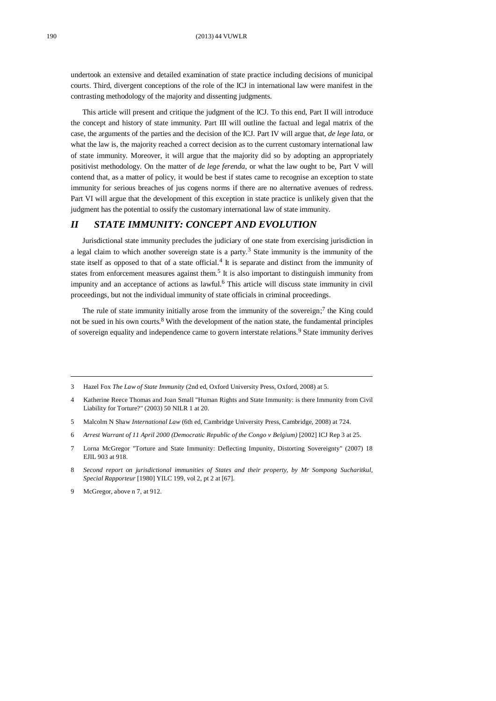undertook an extensive and detailed examination of state practice including decisions of municipal courts. Third, divergent conceptions of the role of the ICJ in international law were manifest in the contrasting methodology of the majority and dissenting judgments.

This article will present and critique the judgment of the ICJ. To this end, Part II will introduce the concept and history of state immunity. Part III will outline the factual and legal matrix of the case, the arguments of the parties and the decision of the ICJ. Part IV will argue that, *de lege lata*, or what the law is, the majority reached a correct decision as to the current customary international law of state immunity. Moreover, it will argue that the majority did so by adopting an appropriately positivist methodology. On the matter of *de lege ferenda*, or what the law ought to be, Part V will contend that, as a matter of policy, it would be best if states came to recognise an exception to state immunity for serious breaches of jus cogens norms if there are no alternative avenues of redress. Part VI will argue that the development of this exception in state practice is unlikely given that the judgment has the potential to ossify the customary international law of state immunity.

# *II STATE IMMUNITY: CONCEPT AND EVOLUTION*

<span id="page-1-2"></span><span id="page-1-1"></span>Jurisdictional state immunity precludes the judiciary of one state from exercising jurisdiction in a legal claim to which another sovereign state is a party.<sup>3</sup> State immunity is the immunity of the state itself as opposed to that of a state official.<sup>4</sup> It is separate and distinct from the immunity of states from enforcement measures against them.<sup>5</sup> It is also important to distinguish immunity from impunity and an acceptance of actions as lawful.<sup>6</sup> This article will discuss state immunity in civil proceedings, but not the individual immunity of state officials in criminal proceedings.

<span id="page-1-3"></span><span id="page-1-0"></span>The rule of state immunity initially arose from the immunity of the sovereign;<sup>7</sup> the King could not be sued in his own courts.<sup>8</sup> With the development of the nation state, the fundamental principles of sovereign equality and independence came to govern interstate relations.<sup>9</sup> State immunity derives

5 Malcolm N Shaw *International Law* (6th ed, Cambridge University Press, Cambridge, 2008) at 724.

<sup>3</sup> Hazel Fox *The Law of State Immunity* (2nd ed, Oxford University Press, Oxford, 2008) at 5.

<sup>4</sup> Katherine Reece Thomas and Joan Small "Human Rights and State Immunity: is there Immunity from Civil Liability for Torture?" (2003) 50 NILR 1 at 20.

<sup>6</sup> *Arrest Warrant of 11 April 2000 (Democratic Republic of the Congo v Belgium)* [2002] ICJ Rep 3 at 25.

<sup>7</sup> Lorna McGregor "Torture and State Immunity: Deflecting Impunity, Distorting Sovereignty" (2007) 18 EJIL 903 at 918.

<sup>8</sup> *Second report on jurisdictional immunities of States and their property, by Mr Sompong Sucharitkul, Special Rapporteur* [1980] YILC 199, vol 2, pt 2 at [67].

<sup>9</sup> McGregor, above [n 7,](#page-1-0) at 912.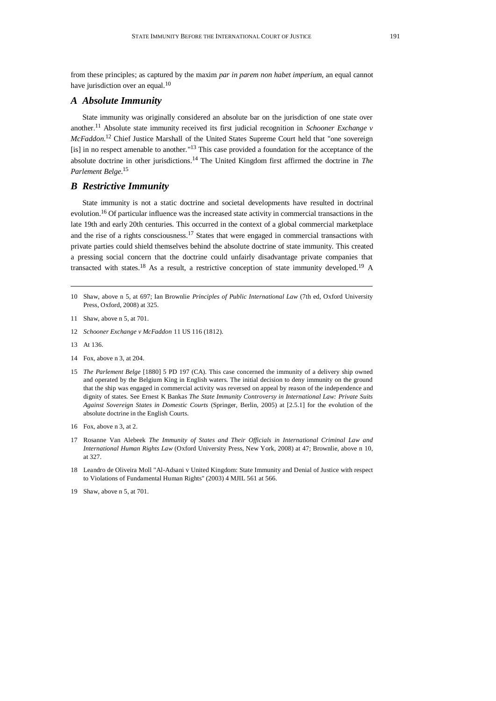<span id="page-2-0"></span>from these principles; as captured by the maxim *par in parem non habet imperium*, an equal cannot have jurisdiction over an equal*.* 10

## *A Absolute Immunity*

State immunity was originally considered an absolute bar on the jurisdiction of one state over another.<sup>11</sup> Absolute state immunity received its first judicial recognition in *Schooner Exchange v McFaddon*. <sup>12</sup> Chief Justice Marshall of the United States Supreme Court held that "one sovereign [is] in no respect amenable to another."<sup>13</sup> This case provided a foundation for the acceptance of the absolute doctrine in other jurisdictions.<sup>14</sup> The United Kingdom first affirmed the doctrine in *The Parlement Belge*. 15

# <span id="page-2-2"></span>*B Restrictive Immunity*

<span id="page-2-1"></span>State immunity is not a static doctrine and societal developments have resulted in doctrinal evolution.<sup>16</sup> Of particular influence was the increased state activity in commercial transactions in the late 19th and early 20th centuries. This occurred in the context of a global commercial marketplace and the rise of a rights consciousness.<sup>17</sup> States that were engaged in commercial transactions with private parties could shield themselves behind the absolute doctrine of state immunity. This created a pressing social concern that the doctrine could unfairly disadvantage private companies that transacted with states.<sup>18</sup> As a result, a restrictive conception of state immunity developed.<sup>19</sup> A

- 11 Shaw, above n [5,](#page-1-1) at 701.
- 12 *Schooner Exchange v McFaddon* 11 US 116 (1812).
- 13 At 136.
- 14 Fox, above [n 3,](#page-1-2) at 204.
- 15 *The Parlement Belge* [1880] 5 PD 197 (CA). This case concerned the immunity of a delivery ship owned and operated by the Belgium King in English waters. The initial decision to deny immunity on the ground that the ship was engaged in commercial activity was reversed on appeal by reason of the independence and dignity of states. See Ernest K Bankas *The State Immunity Controversy in International Law: Private Suits Against Sovereign States in Domestic Courts* (Springer, Berlin, 2005) at [2.5.1] for the evolution of the absolute doctrine in the English Courts.
- 16 Fox, above [n 3,](#page-1-2) at 2.
- 17 Rosanne Van Alebeek *The Immunity of States and Their Officials in International Criminal Law and International Human Rights Law* (Oxford University Press, New York, 2008) at 47; Brownlie, above n [10,](#page-2-0) at 327.
- 18 Leandro de Oliveira Moll "Al-Adsani v United Kingdom: State Immunity and Denial of Justice with respect to Violations of Fundamental Human Rights" (2003) 4 MJIL 561 at 566.
- 19 Shaw, above n [5,](#page-1-1) at 701.

<sup>10</sup> Shaw, above n [5,](#page-1-1) at 697; Ian Brownlie *Principles of Public International Law* (7th ed, Oxford University Press, Oxford, 2008) at 325.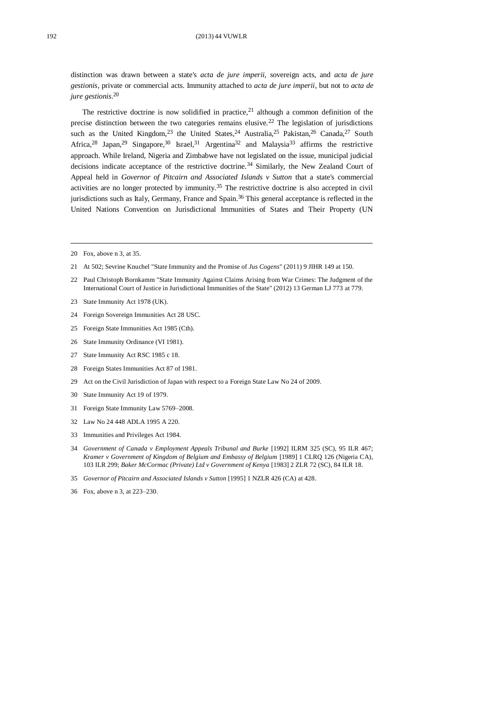#### 192 (2013) 44 VUWLR

distinction was drawn between a state's *acta de jure imperii*, sovereign acts, and *acta de jure gestionis*, private or commercial acts. Immunity attached to *acta de jure imperii*, but not to *acta de jure gestionis*. 20

<span id="page-3-1"></span><span id="page-3-0"></span>The restrictive doctrine is now solidified in practice,<sup>21</sup> although a common definition of the precise distinction between the two categories remains elusive.<sup>22</sup> The legislation of jurisdictions such as the United Kingdom,<sup>23</sup> the United States,<sup>24</sup> Australia,<sup>25</sup> Pakistan,<sup>26</sup> Canada,<sup>27</sup> South Africa,<sup>28</sup> Japan,<sup>29</sup> Singapore,<sup>30</sup> Israel,<sup>31</sup> Argentina<sup>32</sup> and Malaysia<sup>33</sup> affirms the restrictive approach. While Ireland, Nigeria and Zimbabwe have not legislated on the issue, municipal judicial decisions indicate acceptance of the restrictive doctrine.<sup>34</sup> Similarly, the New Zealand Court of Appeal held in *Governor of Pitcairn and Associated Islands v Sutton* that a state's commercial activities are no longer protected by immunity.<sup>35</sup> The restrictive doctrine is also accepted in civil jurisdictions such as Italy, Germany, France and Spain.<sup>36</sup> This general acceptance is reflected in the United Nations Convention on Jurisdictional Immunities of States and Their Property (UN

- 22 Paul Christoph Bornkamm "State Immunity Against Claims Arising from War Crimes: The Judgment of the International Court of Justice in Jurisdictional Immunities of the State" (2012) 13 German LJ 773 at 779.
- 23 State Immunity Act 1978 (UK).
- 24 Foreign Sovereign Immunities Act 28 USC.
- 25 Foreign State Immunities Act 1985 (Cth).
- 26 State Immunity Ordinance (VI 1981).
- 27 State Immunity Act RSC 1985 c 18.
- 28 Foreign States Immunities Act 87 of 1981.
- 29 Act on the Civil Jurisdiction of Japan with respect to a Foreign State Law No 24 of 2009.
- 30 State Immunity Act 19 of 1979.
- 31 Foreign State Immunity Law 5769–2008.
- 32 Law No 24 448 ADLA 1995 A 220.
- 33 Immunities and Privileges Act 1984.
- 34 *Government of Canada v Employment Appeals Tribunal and Burke* [1992] ILRM 325 (SC), 95 ILR 467; *Kramer v Government of Kingdom of Belgium and Embassy of Belgium* [1989] 1 CLRQ 126 (Nigeria CA), 103 ILR 299; *Baker McCormac (Private) Ltd v Government of Kenya* [1983] 2 ZLR 72 (SC), 84 ILR 18.
- 35 *Governor of Pitcairn and Associated Islands v Sutton* [1995] 1 NZLR 426 (CA) at 428.
- 36 Fox, above [n 3,](#page-1-2) at 223–230.

<sup>20</sup> Fox, above [n 3,](#page-1-2) at 35.

<sup>21</sup> At 502; Sevrine Knuchel "State Immunity and the Promise of *Jus Cogens*" (2011) 9 JIHR 149 at 150.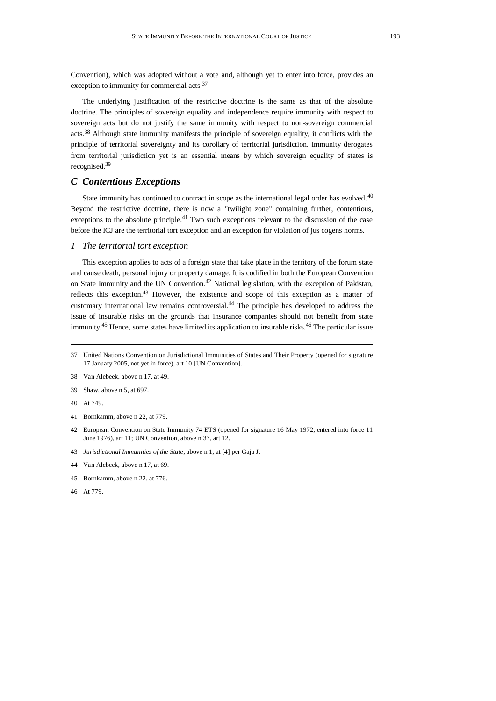<span id="page-4-0"></span>Convention), which was adopted without a vote and, although yet to enter into force, provides an exception to immunity for commercial acts.<sup>37</sup>

The underlying justification of the restrictive doctrine is the same as that of the absolute doctrine. The principles of sovereign equality and independence require immunity with respect to sovereign acts but do not justify the same immunity with respect to non-sovereign commercial acts.<sup>38</sup> Although state immunity manifests the principle of sovereign equality, it conflicts with the principle of territorial sovereignty and its corollary of territorial jurisdiction. Immunity derogates from territorial jurisdiction yet is an essential means by which sovereign equality of states is recognised.<sup>39</sup>

# *C Contentious Exceptions*

State immunity has continued to contract in scope as the international legal order has evolved.<sup>40</sup> Beyond the restrictive doctrine, there is now a "twilight zone" containing further, contentious, exceptions to the absolute principle.<sup>41</sup> Two such exceptions relevant to the discussion of the case before the ICJ are the territorial tort exception and an exception for violation of jus cogens norms.

#### *1 The territorial tort exception*

This exception applies to acts of a foreign state that take place in the territory of the forum state and cause death, personal injury or property damage. It is codified in both the European Convention on State Immunity and the UN Convention.<sup>42</sup> National legislation, with the exception of Pakistan, reflects this exception.<sup>43</sup> However, the existence and scope of this exception as a matter of customary international law remains controversial.<sup>44</sup> The principle has developed to address the issue of insurable risks on the grounds that insurance companies should not benefit from state immunity.<sup>45</sup> Hence, some states have limited its application to insurable risks.<sup>46</sup> The particular issue

38 Van Alebeek, above n [17,](#page-2-1) at 49.

40 At 749.

- 42 European Convention on State Immunity 74 ETS (opened for signature 16 May 1972, entered into force 11 June 1976), art 11; UN Convention, above n [37,](#page-4-0) art 12.
- 43 *Jurisdictional Immunities of the State*, above [n 1,](#page-0-0) at [4] per Gaja J.
- 44 Van Alebeek, above n [17,](#page-2-1) at 69.
- 45 Bornkamm, above [n 22,](#page-3-0) at 776.
- 46 At 779.

<sup>37</sup> United Nations Convention on Jurisdictional Immunities of States and Their Property (opened for signature 17 January 2005, not yet in force), art 10 [UN Convention].

<sup>39</sup> Shaw, above n [5,](#page-1-1) at 697.

<sup>41</sup> Bornkamm, above [n 22,](#page-3-0) at 779.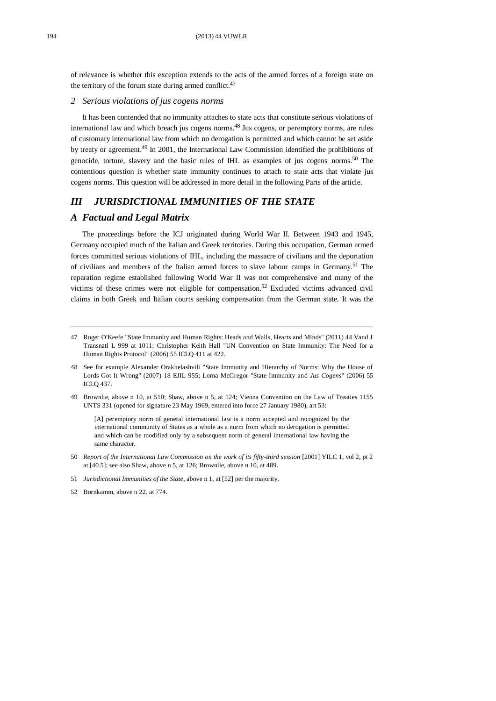of relevance is whether this exception extends to the acts of the armed forces of a foreign state on the territory of the forum state during armed conflict.<sup>47</sup>

#### <span id="page-5-0"></span>*2 Serious violations of jus cogens norms*

It has been contended that no immunity attaches to state acts that constitute serious violations of international law and which breach jus cogens norms.<sup>48</sup> Jus cogens*,* or peremptory norms, are rules of customary international law from which no derogation is permitted and which cannot be set aside by treaty or agreement.<sup>49</sup> In 2001, the International Law Commission identified the prohibitions of genocide, torture, slavery and the basic rules of IHL as examples of jus cogens norms.<sup>50</sup> The contentious question is whether state immunity continues to attach to state acts that violate jus cogens norms. This question will be addressed in more detail in the following Parts of the article.

# *III JURISDICTIONAL IMMUNITIES OF THE STATE*

# *A Factual and Legal Matrix*

The proceedings before the ICJ originated during World War II. Between 1943 and 1945, Germany occupied much of the Italian and Greek territories. During this occupation, German armed forces committed serious violations of IHL, including the massacre of civilians and the deportation of civilians and members of the Italian armed forces to slave labour camps in Germany.<sup>51</sup> The reparation regime established following World War II was not comprehensive and many of the victims of these crimes were not eligible for compensation. <sup>52</sup> Excluded victims advanced civil claims in both Greek and Italian courts seeking compensation from the German state. It was the

49 Brownlie, above n [10,](#page-2-0) at 510; Shaw, above n [5,](#page-1-1) at 124; Vienna Convention on the Law of Treaties 1155 UNTS 331 (opened for signature 23 May 1969, entered into force 27 January 1980), art 53:

[A] peremptory norm of general international law is a norm accepted and recognized by the international community of States as a whole as a norm from which no derogation is permitted and which can be modified only by a subsequent norm of general international law having the same character.

- 50 *Report of the International Law Commission on the work of its fifty-third session* [2001] YILC 1, vol 2, pt 2 at [40.5]; see also Shaw, above [n 5,](#page-1-1) at 126; Brownlie, above [n 10,](#page-2-0) at 489.
- 51 *Jurisdictional Immunities of the State*, above [n 1,](#page-0-0) at [52] per the majority.

<sup>47</sup> Roger O'Keefe "State Immunity and Human Rights: Heads and Walls, Hearts and Minds" (2011) 44 Vand J Transnatl L 999 at 1011; Christopher Keith Hall "UN Convention on State Immunity: The Need for a Human Rights Protocol" (2006) 55 ICLQ 411 at 422.

<sup>48</sup> See for example Alexander Orakhelashvili "State Immunity and Hierarchy of Norms: Why the House of Lords Got It Wrong" (2007) 18 EJIL 955; Lorna McGregor "State Immunity and *Jus Cogens*" (2006) 55 ICLQ 437.

<sup>52</sup> Bornkamm, above n [22,](#page-3-0) at 774.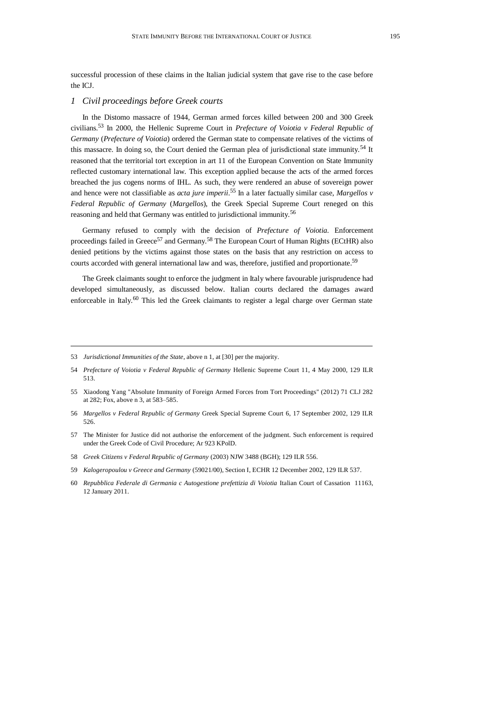successful procession of these claims in the Italian judicial system that gave rise to the case before the ICJ.

### *1 Civil proceedings before Greek courts*

<span id="page-6-1"></span>In the Distomo massacre of 1944, German armed forces killed between 200 and 300 Greek civilians.<sup>53</sup> In 2000, the Hellenic Supreme Court in *Prefecture of Voiotia v Federal Republic of Germany* (*Prefecture of Voiotia*) ordered the German state to compensate relatives of the victims of this massacre. In doing so, the Court denied the German plea of jurisdictional state immunity.<sup>54</sup> It reasoned that the territorial tort exception in art 11 of the European Convention on State Immunity reflected customary international law. This exception applied because the acts of the armed forces breached the jus cogens norms of IHL. As such, they were rendered an abuse of sovereign power and hence were not classifiable as *acta jure imperii.* <sup>55</sup> In a later factually similar case, *Margellos v Federal Republic of Germany* (*Margellos*), the Greek Special Supreme Court reneged on this reasoning and held that Germany was entitled to jurisdictional immunity.<sup>56</sup>

<span id="page-6-2"></span><span id="page-6-0"></span>Germany refused to comply with the decision of *Prefecture of Voiotia.* Enforcement proceedings failed in Greece<sup>57</sup> and Germany.<sup>58</sup> The European Court of Human Rights (ECtHR) also denied petitions by the victims against those states on the basis that any restriction on access to courts accorded with general international law and was, therefore, justified and proportionate.<sup>59</sup>

The Greek claimants sought to enforce the judgment in Italy where favourable jurisprudence had developed simultaneously, as discussed below. Italian courts declared the damages award enforceable in Italy.<sup>60</sup> This led the Greek claimants to register a legal charge over German state

58 *Greek Citizens v Federal Republic of Germany* (2003) NJW 3488 (BGH); 129 ILR 556.

<sup>53</sup> *Jurisdictional Immunities of the State*, above [n 1,](#page-0-0) at [30] per the majority.

<sup>54</sup> *Prefecture of Voiotia v Federal Republic of Germany* Hellenic Supreme Court 11, 4 May 2000, 129 ILR 513.

<sup>55</sup> Xiaodong Yang "Absolute Immunity of Foreign Armed Forces from Tort Proceedings" (2012) 71 CLJ 282 at 282; Fox, above [n 3,](#page-1-2) at 583–585.

<sup>56</sup> *Margellos v Federal Republic of Germany* Greek Special Supreme Court 6, 17 September 2002, 129 ILR 526.

<sup>57</sup> The Minister for Justice did not authorise the enforcement of the judgment. Such enforcement is required under the Greek Code of Civil Procedure; Ar 923 KPolD.

<sup>59</sup> *Kalogeropoulou v Greece and Germany* (59021/00), Section I, ECHR 12 December 2002, 129 ILR 537.

<sup>60</sup> *Repubblica Federale di Germania c Autogestione prefettizia di Voiotia* Italian Court of Cassation 11163, 12 January 2011.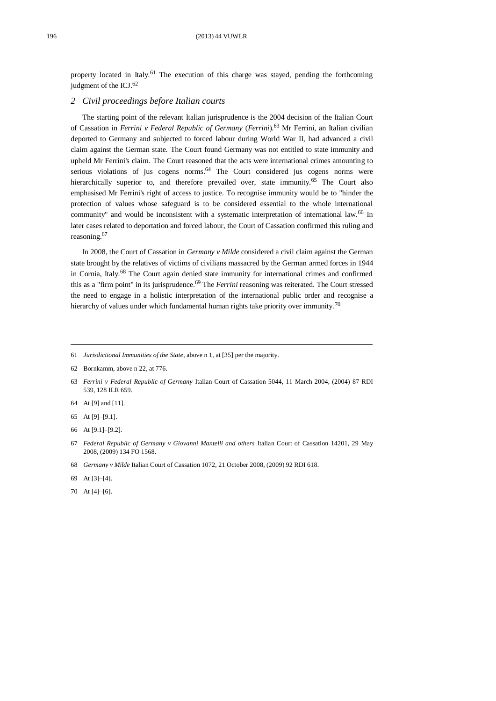property located in Italy.<sup>61</sup> The execution of this charge was stayed, pending the forthcoming judgment of the ICJ.<sup>62</sup>

## *2 Civil proceedings before Italian courts*

The starting point of the relevant Italian jurisprudence is the 2004 decision of the Italian Court of Cassation in *Ferrini v Federal Republic of Germany* (*Ferrini*)*.* <sup>63</sup> Mr Ferrini, an Italian civilian deported to Germany and subjected to forced labour during World War II, had advanced a civil claim against the German state. The Court found Germany was not entitled to state immunity and upheld Mr Ferrini's claim. The Court reasoned that the acts were international crimes amounting to serious violations of jus cogens norms. $64$  The Court considered jus cogens norms were hierarchically superior to, and therefore prevailed over, state immunity.<sup>65</sup> The Court also emphasised Mr Ferrini's right of access to justice. To recognise immunity would be to "hinder the protection of values whose safeguard is to be considered essential to the whole international community" and would be inconsistent with a systematic interpretation of international law.<sup>66</sup> In later cases related to deportation and forced labour, the Court of Cassation confirmed this ruling and reasoning.<sup>67</sup>

<span id="page-7-0"></span>In 2008, the Court of Cassation in *Germany v Milde* considered a civil claim against the German state brought by the relatives of victims of civilians massacred by the German armed forces in 1944 in Cornia, Italy.<sup>68</sup> The Court again denied state immunity for international crimes and confirmed this as a "firm point" in its jurisprudence.<sup>69</sup> The *Ferrini* reasoning was reiterated. The Court stressed the need to engage in a holistic interpretation of the international public order and recognise a hierarchy of values under which fundamental human rights take priority over immunity.<sup>70</sup>

- 64 At [9] and [11].
- 65 At [9]–[9.1].
- 66 At [9.1]–[9.2].

- 68 *Germany v Milde* Italian Court of Cassation 1072, 21 October 2008, (2009) 92 RDI 618.
- 69 At [3]–[4].
- 70 At [4]–[6].

<sup>61</sup> *Jurisdictional Immunities of the State*, above [n 1,](#page-0-0) at [35] per the majority.

<sup>62</sup> Bornkamm, above [n 22,](#page-3-0) at 776.

<sup>63</sup> *Ferrini v Federal Republic of Germany* Italian Court of Cassation 5044, 11 March 2004, (2004) 87 RDI 539, 128 ILR 659.

<sup>67</sup> *Federal Republic of Germany v Giovanni Mantelli and others* Italian Court of Cassation 14201, 29 May 2008, (2009) 134 FO 1568.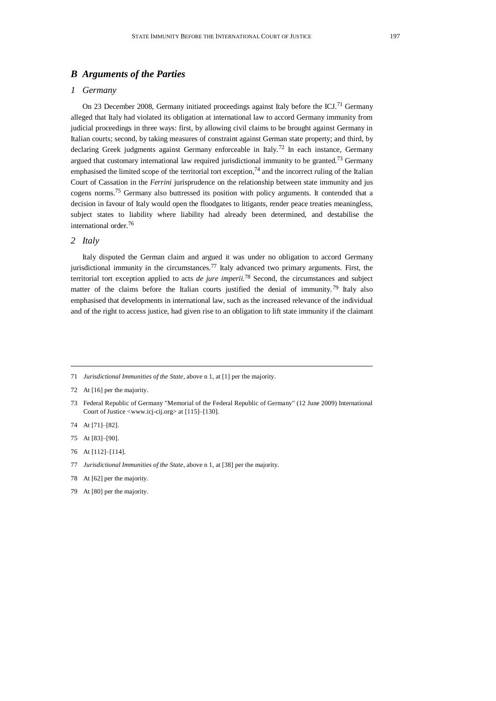# *B Arguments of the Parties*

## *1 Germany*

<span id="page-8-0"></span>On 23 December 2008, Germany initiated proceedings against Italy before the ICJ.<sup>71</sup> Germany alleged that Italy had violated its obligation at international law to accord Germany immunity from judicial proceedings in three ways: first, by allowing civil claims to be brought against Germany in Italian courts; second, by taking measures of constraint against German state property; and third, by declaring Greek judgments against Germany enforceable in Italy.<sup>72</sup> In each instance, Germany argued that customary international law required jurisdictional immunity to be granted.<sup>73</sup> Germany emphasised the limited scope of the territorial tort exception, $74$  and the incorrect ruling of the Italian Court of Cassation in the *Ferrini* jurisprudence on the relationship between state immunity and jus cogens norms.<sup>75</sup> Germany also buttressed its position with policy arguments. It contended that a decision in favour of Italy would open the floodgates to litigants, render peace treaties meaningless, subject states to liability where liability had already been determined, and destabilise the international order.<sup>76</sup>

## *2 Italy*

Italy disputed the German claim and argued it was under no obligation to accord Germany jurisdictional immunity in the circumstances.<sup>77</sup> Italy advanced two primary arguments. First, the territorial tort exception applied to acts *de jure imperii.*<sup>78</sup> Second, the circumstances and subject matter of the claims before the Italian courts justified the denial of immunity.<sup>79</sup> Italy also emphasised that developments in international law, such as the increased relevance of the individual and of the right to access justice, had given rise to an obligation to lift state immunity if the claimant

- 74 At [71]–[82].
- 75 At [83]–[90].
- 76 At [112]–[114].
- 77 *Jurisdictional Immunities of the State*, above [n 1,](#page-0-0) at [38] per the majority.
- 78 At [62] per the majority.
- 79 At [80] per the majority.

<sup>71</sup> *Jurisdictional Immunities of the State*, above [n 1,](#page-0-0) at [1] per the majority.

<sup>72</sup> At [16] per the majority.

<sup>73</sup> Federal Republic of Germany "Memorial of the Federal Republic of Germany" (12 June 2009) International Court of Justice <www.icj-cij.org> at [115]–[130].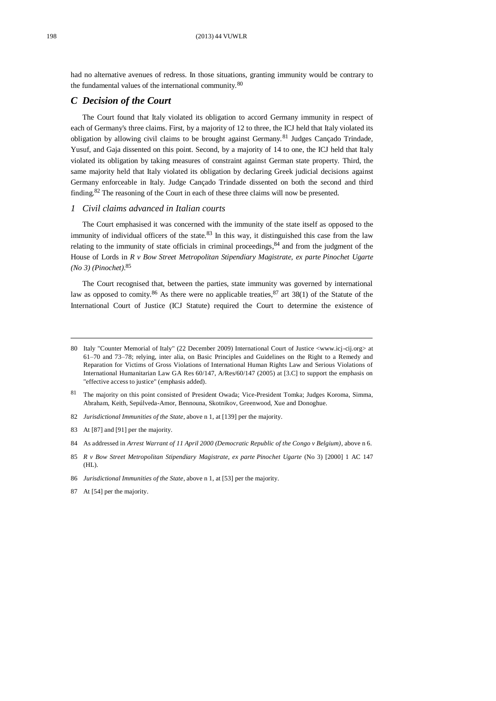had no alternative avenues of redress. In those situations, granting immunity would be contrary to the fundamental values of the international community.<sup>80</sup>

# *C Decision of the Court*

The Court found that Italy violated its obligation to accord Germany immunity in respect of each of Germany's three claims. First, by a majority of 12 to three, the ICJ held that Italy violated its obligation by allowing civil claims to be brought against Germany.<sup>81</sup> Judges Cançado Trindade, Yusuf, and Gaja dissented on this point. Second, by a majority of 14 to one, the ICJ held that Italy violated its obligation by taking measures of constraint against German state property. Third, the same majority held that Italy violated its obligation by declaring Greek judicial decisions against Germany enforceable in Italy. Judge Cançado Trindade dissented on both the second and third finding.<sup>82</sup> The reasoning of the Court in each of these three claims will now be presented.

## *1 Civil claims advanced in Italian courts*

The Court emphasised it was concerned with the immunity of the state itself as opposed to the immunity of individual officers of the state.<sup>83</sup> In this way, it distinguished this case from the law relating to the immunity of state officials in criminal proceedings,  $84$  and from the judgment of the House of Lords in *R v Bow Street Metropolitan Stipendiary Magistrate, ex parte Pinochet Ugarte (No 3) (Pinochet)*. 85

The Court recognised that, between the parties, state immunity was governed by international law as opposed to comity.<sup>86</sup> As there were no applicable treaties,  $^{87}$  art 38(1) of the Statute of the International Court of Justice (ICJ Statute) required the Court to determine the existence of

- 82 *Jurisdictional Immunities of the State*, above [n 1,](#page-0-0) at [139] per the majority.
- 83 At [87] and [91] per the majority.
- 84 As addressed in *Arrest Warrant of 11 April 2000 (Democratic Republic of the Congo v Belgium)*, above [n 6.](#page-1-3)

<sup>80</sup> Italy "Counter Memorial of Italy" (22 December 2009) International Court of Justice <www.icj-cij.org> at 61–70 and 73–78; relying, inter alia, on Basic Principles and Guidelines on the Right to a Remedy and Reparation for Victims of Gross Violations of International Human Rights Law and Serious Violations of International Humanitarian Law GA Res 60/147, A/Res/60/147 (2005) at [3.C] to support the emphasis on "effective access to justice" (emphasis added).

<sup>81</sup> The majority on this point consisted of President Owada; Vice-President Tomka; Judges Koroma, Simma, Abraham, Keith, Sepúlveda-Amor, Bennouna, Skotnikov, Greenwood, Xue and Donoghue.

<sup>85</sup> *R v Bow Street Metropolitan Stipendiary Magistrate, ex parte Pinochet Ugarte* (No 3) [2000] 1 AC 147  $(HL)$ .

<sup>86</sup> *Jurisdictional Immunities of the State*, above [n 1,](#page-0-0) at [53] per the majority.

<sup>87</sup> At [54] per the majority.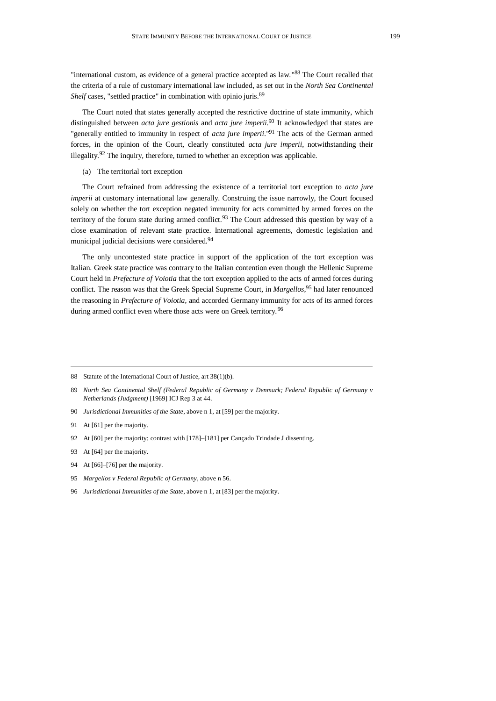<span id="page-10-0"></span>"international custom, as evidence of a general practice accepted as law."88 The Court recalled that the criteria of a rule of customary international law included, as set out in the *North Sea Continental Shelf* cases, "settled practice" in combination with opinio juris.<sup>89</sup>

<span id="page-10-1"></span>The Court noted that states generally accepted the restrictive doctrine of state immunity, which distinguished between *acta jure gestionis* and *acta jure imperii*. <sup>90</sup> It acknowledged that states are "generally entitled to immunity in respect of *acta jure imperii*." <sup>91</sup> The acts of the German armed forces, in the opinion of the Court, clearly constituted *acta jure imperii*, notwithstanding their illegality.<sup>92</sup> The inquiry, therefore, turned to whether an exception was applicable.

#### (a) The territorial tort exception

The Court refrained from addressing the existence of a territorial tort exception to *acta jure imperii* at customary international law generally. Construing the issue narrowly, the Court focused solely on whether the tort exception negated immunity for acts committed by armed forces on the territory of the forum state during armed conflict.<sup>93</sup> The Court addressed this question by way of a close examination of relevant state practice. International agreements, domestic legislation and municipal judicial decisions were considered.<sup>94</sup>

The only uncontested state practice in support of the application of the tort exception was Italian. Greek state practice was contrary to the Italian contention even though the Hellenic Supreme Court held in *Prefecture of Voiotia* that the tort exception applied to the acts of armed forces during conflict. The reason was that the Greek Special Supreme Court, in *Margellos*, <sup>95</sup> had later renounced the reasoning in *Prefecture of Voiotia*, and accorded Germany immunity for acts of its armed forces during armed conflict even where those acts were on Greek territory.<sup>96</sup>

- 90 *Jurisdictional Immunities of the State*, above [n 1,](#page-0-0) at [59] per the majority.
- 91 At [61] per the majority.
- 92 At [60] per the majority; contrast with [178]–[181] per Cançado Trindade J dissenting.
- 93 At [64] per the majority.
- 94 At [66]–[76] per the majority.
- 95 *Margellos v Federal Republic of Germany*, above [n 56.](#page-6-0)
- 96 *Jurisdictional Immunities of the State*, above [n 1,](#page-0-0) at [83] per the majority.

<sup>88</sup> Statute of the International Court of Justice, art 38(1)(b).

<sup>89</sup> *North Sea Continental Shelf (Federal Republic of Germany v Denmark; Federal Republic of Germany v Netherlands (Judgment)* [1969] ICJ Rep 3 at 44.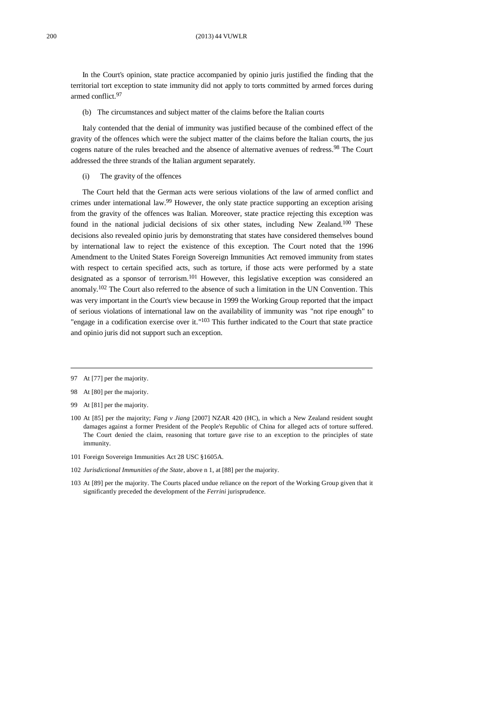In the Court's opinion, state practice accompanied by opinio juris justified the finding that the territorial tort exception to state immunity did not apply to torts committed by armed forces during armed conflict.<sup>97</sup>

(b) The circumstances and subject matter of the claims before the Italian courts

Italy contended that the denial of immunity was justified because of the combined effect of the gravity of the offences which were the subject matter of the claims before the Italian courts, the jus cogens nature of the rules breached and the absence of alternative avenues of redress.<sup>98</sup> The Court addressed the three strands of the Italian argument separately.

(i) The gravity of the offences

The Court held that the German acts were serious violations of the law of armed conflict and crimes under international law.<sup>99</sup> However, the only state practice supporting an exception arising from the gravity of the offences was Italian. Moreover, state practice rejecting this exception was found in the national judicial decisions of six other states, including New Zealand.<sup>100</sup> These decisions also revealed opinio juris by demonstrating that states have considered themselves bound by international law to reject the existence of this exception. The Court noted that the 1996 Amendment to the United States Foreign Sovereign Immunities Act removed immunity from states with respect to certain specified acts, such as torture, if those acts were performed by a state designated as a sponsor of terrorism.<sup>101</sup> However, this legislative exception was considered an anomaly.<sup>102</sup> The Court also referred to the absence of such a limitation in the UN Convention. This was very important in the Court's view because in 1999 the Working Group reported that the impact of serious violations of international law on the availability of immunity was "not ripe enough" to "engage in a codification exercise over it." $103$  This further indicated to the Court that state practice and opinio juris did not support such an exception.

- 101 Foreign Sovereign Immunities Act 28 USC §1605A.
- 102 *Jurisdictional Immunities of the State*, above [n 1,](#page-0-0) at [88] per the majority.
- 103 At [89] per the majority. The Courts placed undue reliance on the report of the Working Group given that it significantly preceded the development of the *Ferrini* jurisprudence.

<sup>97</sup> At [77] per the majority.

<sup>98</sup> At [80] per the majority.

<sup>99</sup> At [81] per the majority.

<sup>100</sup> At [85] per the majority; *Fang v Jiang* [2007] NZAR 420 (HC), in which a New Zealand resident sought damages against a former President of the People's Republic of China for alleged acts of torture suffered. The Court denied the claim, reasoning that torture gave rise to an exception to the principles of state immunity.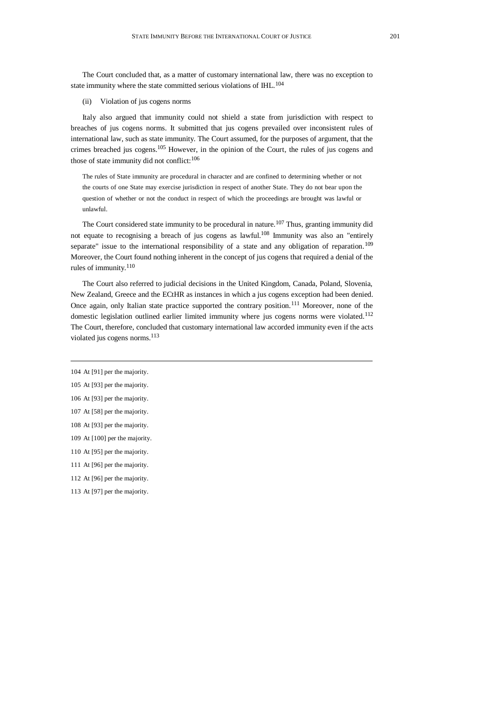The Court concluded that, as a matter of customary international law, there was no exception to state immunity where the state committed serious violations of IHL.<sup>104</sup>

(ii) Violation of jus cogens norms

Italy also argued that immunity could not shield a state from jurisdiction with respect to breaches of jus cogens norms. It submitted that jus cogens prevailed over inconsistent rules of international law, such as state immunity. The Court assumed, for the purposes of argument, that the crimes breached jus cogens.<sup>105</sup> However, in the opinion of the Court, the rules of jus cogens and those of state immunity did not conflict: $106$ 

The rules of State immunity are procedural in character and are confined to determining whether or not the courts of one State may exercise jurisdiction in respect of another State. They do not bear upon the question of whether or not the conduct in respect of which the proceedings are brought was lawful or unlawful.

The Court considered state immunity to be procedural in nature.<sup>107</sup> Thus, granting immunity did not equate to recognising a breach of jus cogens as lawful. <sup>108</sup> Immunity was also an "entirely separate" issue to the international responsibility of a state and any obligation of reparation.<sup>109</sup> Moreover, the Court found nothing inherent in the concept of jus cogens that required a denial of the rules of immunity.<sup>110</sup>

The Court also referred to judicial decisions in the United Kingdom, Canada, Poland, Slovenia, New Zealand, Greece and the ECtHR as instances in which a jus cogens exception had been denied. Once again, only Italian state practice supported the contrary position.<sup>111</sup> Moreover, none of the domestic legislation outlined earlier limited immunity where jus cogens norms were violated.<sup>112</sup> The Court, therefore, concluded that customary international law accorded immunity even if the acts violated jus cogens norms.<sup>113</sup>

104 At [91] per the majority.

- 105 At [93] per the majority.
- 106 At [93] per the majority.
- 107 At [58] per the majority.
- 108 At [93] per the majority.
- 109 At [100] per the majority.
- 110 At [95] per the majority.
- 111 At [96] per the majority.
- 112 At [96] per the majority.
- 113 At [97] per the majority.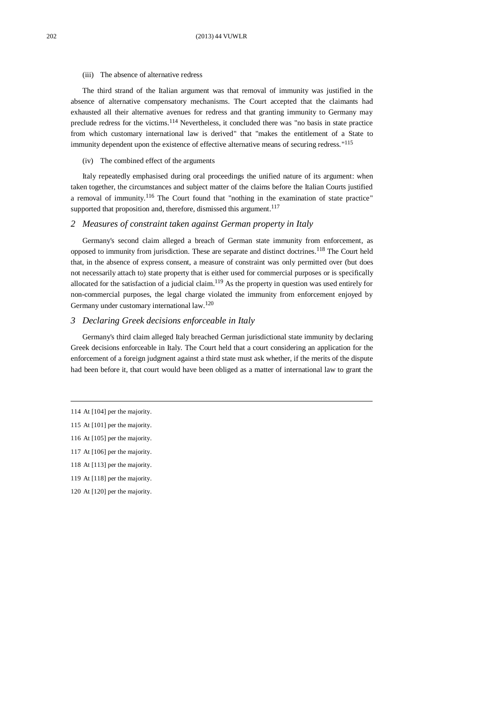#### (iii) The absence of alternative redress

The third strand of the Italian argument was that removal of immunity was justified in the absence of alternative compensatory mechanisms. The Court accepted that the claimants had exhausted all their alternative avenues for redress and that granting immunity to Germany may preclude redress for the victims.<sup>114</sup> Nevertheless, it concluded there was "no basis in state practice from which customary international law is derived" that "makes the entitlement of a State to immunity dependent upon the existence of effective alternative means of securing redress."<sup>115</sup>

#### (iv) The combined effect of the arguments

Italy repeatedly emphasised during oral proceedings the unified nature of its argument: when taken together, the circumstances and subject matter of the claims before the Italian Courts justified a removal of immunity.<sup>116</sup> The Court found that "nothing in the examination of state practice" supported that proposition and, therefore, dismissed this argument.<sup>117</sup>

## *2 Measures of constraint taken against German property in Italy*

Germany's second claim alleged a breach of German state immunity from enforcement, as opposed to immunity from jurisdiction. These are separate and distinct doctrines.<sup>118</sup> The Court held that, in the absence of express consent, a measure of constraint was only permitted over (but does not necessarily attach to) state property that is either used for commercial purposes or is specifically allocated for the satisfaction of a judicial claim.<sup>119</sup> As the property in question was used entirely for non-commercial purposes, the legal charge violated the immunity from enforcement enjoyed by Germany under customary international law.<sup>120</sup>

#### *3 Declaring Greek decisions enforceable in Italy*

Germany's third claim alleged Italy breached German jurisdictional state immunity by declaring Greek decisions enforceable in Italy. The Court held that a court considering an application for the enforcement of a foreign judgment against a third state must ask whether, if the merits of the dispute had been before it, that court would have been obliged as a matter of international law to grant the

- 116 At [105] per the majority.
- 117 At [106] per the majority.
- 118 At [113] per the majority.
- 119 At [118] per the majority.
- 120 At [120] per the majority.

<sup>114</sup> At [104] per the majority.

<sup>115</sup> At [101] per the majority.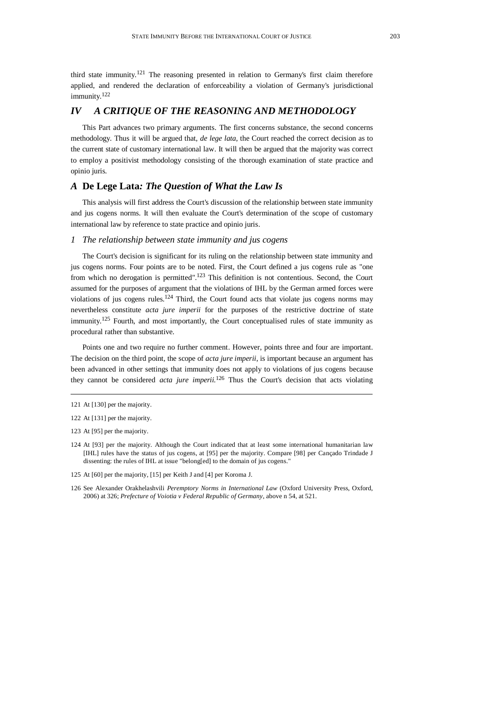third state immunity.<sup>121</sup> The reasoning presented in relation to Germany's first claim therefore applied, and rendered the declaration of enforceability a violation of Germany's jurisdictional immunity.<sup>122</sup>

## *IV A CRITIQUE OF THE REASONING AND METHODOLOGY*

This Part advances two primary arguments. The first concerns substance, the second concerns methodology. Thus it will be argued that, *de lege lata*, the Court reached the correct decision as to the current state of customary international law. It will then be argued that the majority was correct to employ a positivist methodology consisting of the thorough examination of state practice and opinio juris*.* 

# *A* **De Lege Lata***: The Question of What the Law Is*

This analysis will first address the Court's discussion of the relationship between state immunity and jus cogens norms. It will then evaluate the Court's determination of the scope of customary international law by reference to state practice and opinio juris.

#### *1 The relationship between state immunity and jus cogens*

The Court's decision is significant for its ruling on the relationship between state immunity and jus cogens norms. Four points are to be noted. First, the Court defined a jus cogens rule as "one from which no derogation is permitted".<sup>123</sup> This definition is not contentious. Second, the Court assumed for the purposes of argument that the violations of IHL by the German armed forces were violations of jus cogens rules.<sup>124</sup> Third, the Court found acts that violate jus cogens norms may nevertheless constitute *acta jure imperii* for the purposes of the restrictive doctrine of state immunity.<sup>125</sup> Fourth, and most importantly, the Court conceptualised rules of state immunity as procedural rather than substantive.

Points one and two require no further comment. However, points three and four are important. The decision on the third point, the scope of *acta jure imperii*, is important because an argument has been advanced in other settings that immunity does not apply to violations of jus cogens because they cannot be considered *acta jure imperii.*<sup>126</sup> Thus the Court's decision that acts violating

- 124 At [93] per the majority. Although the Court indicated that at least some international humanitarian law [IHL] rules have the status of jus cogens, at [95] per the majority. Compare [98] per Cançado Trindade J dissenting: the rules of IHL at issue "belong[ed] to the domain of jus cogens*.*"
- 125 At [60] per the majority, [15] per Keith J and [4] per Koroma J.
- 126 See Alexander Orakhelashvili *Peremptory Norms in International Law* (Oxford University Press, Oxford, 2006) at 326; *Prefecture of Voiotia v Federal Republic of Germany*, above [n 54,](#page-6-1) at 521.

<sup>121</sup> At [130] per the majority.

<sup>122</sup> At [131] per the majority.

<sup>123</sup> At [95] per the majority.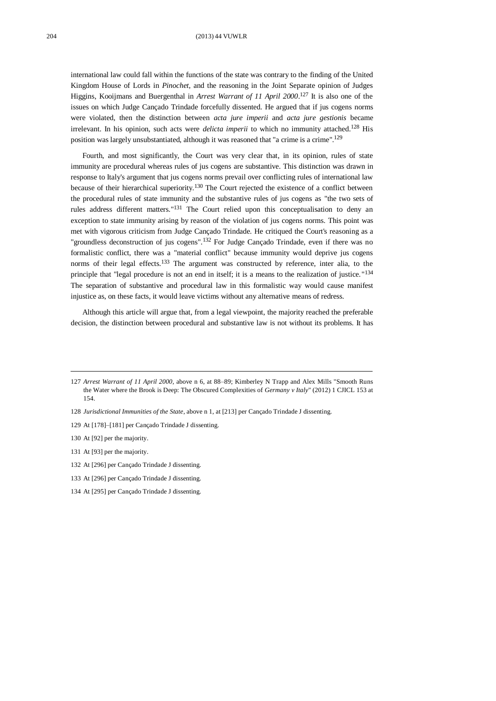#### 204 (2013) 44 VUWLR

<span id="page-15-0"></span>international law could fall within the functions of the state was contrary to the finding of the United Kingdom House of Lords in *Pinochet*, and the reasoning in the Joint Separate opinion of Judges Higgins, Kooijmans and Buergenthal in *Arrest Warrant of 11 April 2000*. <sup>127</sup> It is also one of the issues on which Judge Cançado Trindade forcefully dissented. He argued that if jus cogens norms were violated, then the distinction between *acta jure imperii* and *acta jure gestionis* became irrelevant. In his opinion, such acts were *delicta imperii* to which no immunity attached.<sup>128</sup> His position was largely unsubstantiated, although it was reasoned that "a crime is a crime".<sup>129</sup>

Fourth, and most significantly, the Court was very clear that, in its opinion, rules of state immunity are procedural whereas rules of jus cogens are substantive. This distinction was drawn in response to Italy's argument that jus cogens norms prevail over conflicting rules of international law because of their hierarchical superiority.<sup>130</sup> The Court rejected the existence of a conflict between the procedural rules of state immunity and the substantive rules of jus cogens as "the two sets of rules address different matters."<sup>131</sup> The Court relied upon this conceptualisation to deny an exception to state immunity arising by reason of the violation of jus cogens norms. This point was met with vigorous criticism from Judge Cançado Trindade. He critiqued the Court's reasoning as a "groundless deconstruction of jus cogens".<sup>132</sup> For Judge Cançado Trindade, even if there was no formalistic conflict, there was a "material conflict" because immunity would deprive jus cogens norms of their legal effects.<sup>133</sup> The argument was constructed by reference, inter alia, to the principle that "legal procedure is not an end in itself; it is a means to the realization of justice."<sup>134</sup> The separation of substantive and procedural law in this formalistic way would cause manifest injustice as, on these facts, it would leave victims without any alternative means of redress.

Although this article will argue that, from a legal viewpoint, the majority reached the preferable decision, the distinction between procedural and substantive law is not without its problems. It has

<sup>127</sup> *Arrest Warrant of 11 April 2000*, above n 6, at 88–89; Kimberley N Trapp and Alex Mills "Smooth Runs the Water where the Brook is Deep: The Obscured Complexities of *Germany v Italy*" (2012) 1 CJICL 153 at 154.

<sup>128</sup> *Jurisdictional Immunities of the State*, above [n 1,](#page-0-0) at [213] per Cançado Trindade J dissenting.

<sup>129</sup> At [178]–[181] per Cançado Trindade J dissenting.

<sup>130</sup> At [92] per the majority.

<sup>131</sup> At [93] per the majority.

<sup>132</sup> At [296] per Cançado Trindade J dissenting.

<sup>133</sup> At [296] per Cançado Trindade J dissenting.

<sup>134</sup> At [295] per Cançado Trindade J dissenting.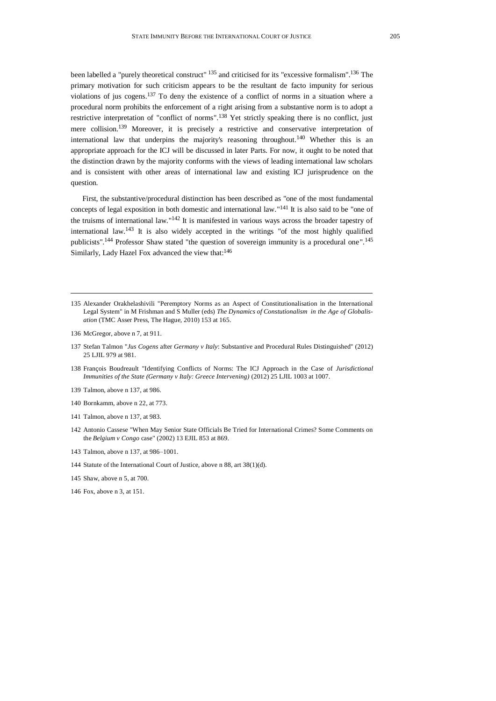<span id="page-16-0"></span>been labelled a "purely theoretical construct" <sup>135</sup> and criticised for its "excessive formalism".<sup>136</sup> The primary motivation for such criticism appears to be the resultant de facto impunity for serious violations of jus cogens.<sup>137</sup> To deny the existence of a conflict of norms in a situation where a procedural norm prohibits the enforcement of a right arising from a substantive norm is to adopt a restrictive interpretation of "conflict of norms".<sup>138</sup> Yet strictly speaking there is no conflict, just mere collision.<sup>139</sup> Moreover, it is precisely a restrictive and conservative interpretation of international law that underpins the majority's reasoning throughout.<sup>140</sup> Whether this is an appropriate approach for the ICJ will be discussed in later Parts. For now, it ought to be noted that the distinction drawn by the majority conforms with the views of leading international law scholars and is consistent with other areas of international law and existing ICJ jurisprudence on the question.

First, the substantive/procedural distinction has been described as "one of the most fundamental concepts of legal exposition in both domestic and international law."<sup>141</sup> It is also said to be "one of the truisms of international law."<sup>142</sup> It is manifested in various ways across the broader tapestry of international law.<sup>143</sup> It is also widely accepted in the writings "of the most highly qualified publicists".<sup>144</sup> Professor Shaw stated "the question of sovereign immunity is a procedural one".<sup>145</sup> Similarly, Lady Hazel Fox advanced the view that:<sup>146</sup>

- 137 Stefan Talmon "*Jus Cogens* after *Germany v Italy*: Substantive and Procedural Rules Distinguished" (2012) 25 LJIL 979 at 981.
- 138 François Boudreault "Identifying Conflicts of Norms: The ICJ Approach in the Case of *Jurisdictional Immunities of the State (Germany v Italy: Greece Intervening)* (2012) 25 LJIL 1003 at 1007.
- 139 Talmon, above n [137,](#page-16-0) at 986.
- 140 Bornkamm, above [n 22,](#page-3-0) at 773.
- 141 Talmon, above n [137,](#page-16-0) at 983.
- 142 Antonio Cassese "When May Senior State Officials Be Tried for International Crimes? Some Comments on the *Belgium v Congo* case" (2002) 13 EJIL 853 at 869.
- 143 Talmon, above n [137,](#page-16-0) at 986–1001.
- 144 Statute of the International Court of Justice, above [n 88,](#page-10-0) art 38(1)(d).
- 145 Shaw, above n [5,](#page-1-1) at 700.
- 146 Fox, above [n 3,](#page-1-2) at 151.

<sup>135</sup> Alexander Orakhelashivili "Peremptory Norms as an Aspect of Constitutionalisation in the International Legal System" in M Frishman and S Muller (eds) *The Dynamics of Constutionalism in the Age of Globalisation* (TMC Asser Press, The Hague, 2010) 153 at 165.

<sup>136</sup> McGregor, above n 7, at 911.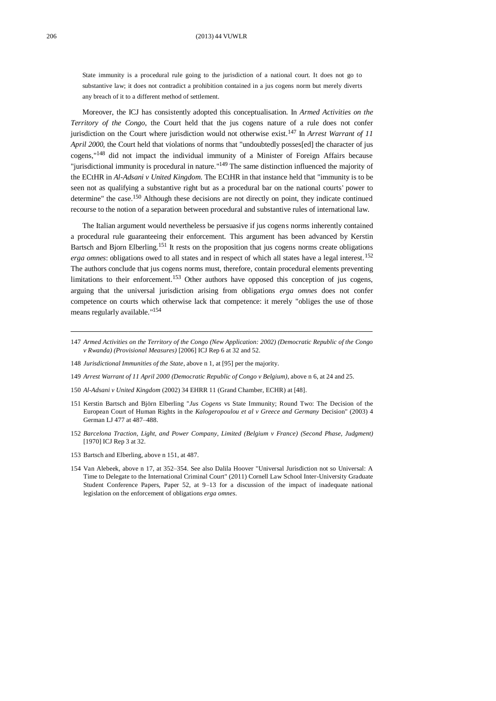#### 206 (2013) 44 VUWLR

State immunity is a procedural rule going to the jurisdiction of a national court. It does not go to substantive law; it does not contradict a prohibition contained in a jus cogens norm but merely diverts any breach of it to a different method of settlement.

Moreover, the ICJ has consistently adopted this conceptualisation. In *Armed Activities on the Territory of the Congo*, the Court held that the jus cogens nature of a rule does not confer jurisdiction on the Court where jurisdiction would not otherwise exist.<sup>147</sup> In *Arrest Warrant of 11 April* 2000, the Court held that violations of norms that "undoubtedly posses[ed] the character of jus cogens," <sup>148</sup> did not impact the individual immunity of a Minister of Foreign Affairs because "jurisdictional immunity is procedural in nature."<sup>149</sup> The same distinction influenced the majority of the ECtHR in *Al-Adsani v United Kingdom*. The ECtHR in that instance held that "immunity is to be seen not as qualifying a substantive right but as a procedural bar on the national courts' power to determine" the case.<sup>150</sup> Although these decisions are not directly on point, they indicate continued recourse to the notion of a separation between procedural and substantive rules of international law.

<span id="page-17-1"></span><span id="page-17-0"></span>The Italian argument would nevertheless be persuasive if jus cogens norms inherently contained a procedural rule guaranteeing their enforcement. This argument has been advanced by Kerstin Bartsch and Bjorn Elberling.<sup>151</sup> It rests on the proposition that jus cogens norms create obligations *erga omnes*: obligations owed to all states and in respect of which all states have a legal interest.<sup>152</sup> The authors conclude that jus cogens norms must, therefore, contain procedural elements preventing limitations to their enforcement.<sup>153</sup> Other authors have opposed this conception of jus cogens, arguing that the universal jurisdiction arising from obligations *erga omnes* does not confer competence on courts which otherwise lack that competence: it merely "obliges the use of those means regularly available."<sup>154</sup>

- 147 *Armed Activities on the Territory of the Congo (New Application: 2002) (Democratic Republic of the Congo v Rwanda) (Provisional Measures)* [2006] ICJ Rep 6 at 32 and 52.
- 148 *Jurisdictional Immunities of the State*, above [n 1,](#page-0-0) at [95] per the majority.
- 149 *Arrest Warrant of 11 April 2000 (Democratic Republic of Congo v Belgium)*, above [n 6,](#page-1-3) at 24 and 25.
- 150 *Al-Adsani v United Kingdom* (2002) 34 EHRR 11 (Grand Chamber, ECHR) at [48].
- 151 Kerstin Bartsch and Björn Elberling "*Jus Cogens* vs State Immunity; Round Two: The Decision of the European Court of Human Rights in the *Kalogeropoulou et al v Greece and Germany* Decision" (2003) 4 German LJ 477 at 487–488.
- 152 *Barcelona Traction, Light, and Power Company, Limited (Belgium v France) (Second Phase, Judgment)*  [1970] ICJ Rep 3 at 32.
- 153 Bartsch and Elberling, above n [151,](#page-17-0) at 487.
- 154 Van Alebeek, above n [17,](#page-2-1) at 352–354. See also Dalila Hoover "Universal Jurisdiction not so Universal: A Time to Delegate to the International Criminal Court" (2011) Cornell Law School Inter-University Graduate Student Conference Papers, Paper 52, at 9–13 for a discussion of the impact of inadequate national legislation on the enforcement of obligations *erga omnes*.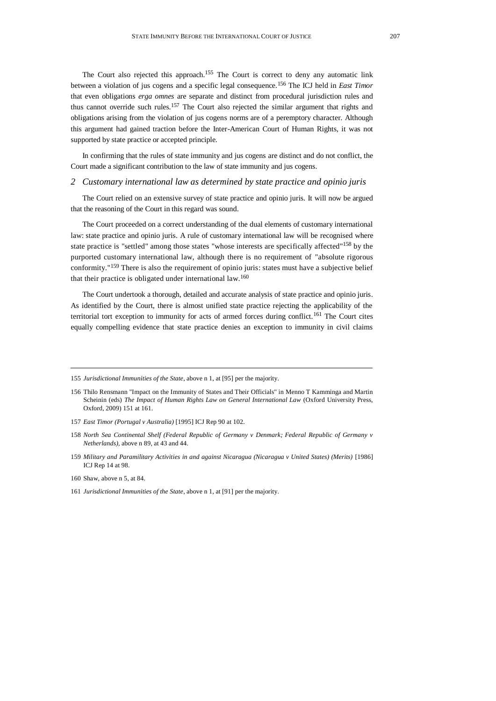The Court also rejected this approach.<sup>155</sup> The Court is correct to deny any automatic link between a violation of jus cogens and a specific legal consequence.<sup>156</sup> The ICJ held in *East Timor*  that even obligations *erga omnes* are separate and distinct from procedural jurisdiction rules and thus cannot override such rules.<sup>157</sup> The Court also rejected the similar argument that rights and obligations arising from the violation of jus cogens norms are of a peremptory character. Although this argument had gained traction before the Inter-American Court of Human Rights, it was not supported by state practice or accepted principle.

In confirming that the rules of state immunity and jus cogens are distinct and do not conflict, the Court made a significant contribution to the law of state immunity and jus cogens.

#### *2 Customary international law as determined by state practice and opinio juris*

The Court relied on an extensive survey of state practice and opinio juris. It will now be argued that the reasoning of the Court in this regard was sound.

The Court proceeded on a correct understanding of the dual elements of customary international law: state practice and opinio juris*.* A rule of customary international law will be recognised where state practice is "settled" among those states "whose interests are specifically affected"<sup>158</sup> by the purported customary international law, although there is no requirement of "absolute rigorous conformity."<sup>159</sup> There is also the requirement of opinio juris: states must have a subjective belief that their practice is obligated under international law.<sup>160</sup>

<span id="page-18-0"></span>The Court undertook a thorough, detailed and accurate analysis of state practice and opinio juris*.* As identified by the Court, there is almost unified state practice rejecting the applicability of the territorial tort exception to immunity for acts of armed forces during conflict.<sup>161</sup> The Court cites equally compelling evidence that state practice denies an exception to immunity in civil claims

<sup>155</sup> *Jurisdictional Immunities of the State*, above [n 1,](#page-0-0) at [95] per the majority.

<sup>156</sup> Thilo Rensmann "Impact on the Immunity of States and Their Officials" in Menno T Kamminga and Martin Scheinin (eds) *The Impact of Human Rights Law on General International Law* (Oxford University Press, Oxford, 2009) 151 at 161.

<sup>157</sup> *East Timor (Portugal v Australia)* [1995] ICJ Rep 90 at 102.

<sup>158</sup> *North Sea Continental Shelf (Federal Republic of Germany v Denmark; Federal Republic of Germany v Netherlands)*, above n [89,](#page-10-1) at 43 and 44.

<sup>159</sup> *Military and Paramilitary Activities in and against Nicaragua (Nicaragua v United States) (Merits)* [1986] ICJ Rep 14 at 98.

<sup>160</sup> Shaw, above n [5,](#page-1-1) at 84.

<sup>161</sup> *Jurisdictional Immunities of the State*, above [n 1,](#page-0-0) at [91] per the majority.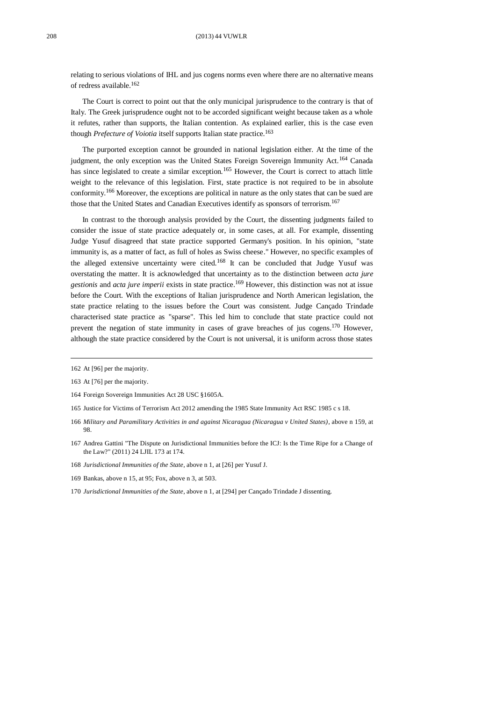#### 208 (2013) 44 VUWLR

relating to serious violations of IHL and jus cogens norms even where there are no alternative means of redress available.<sup>162</sup>

The Court is correct to point out that the only municipal jurisprudence to the contrary is that of Italy. The Greek jurisprudence ought not to be accorded significant weight because taken as a whole it refutes, rather than supports, the Italian contention. As explained earlier, this is the case even though *Prefecture of Voiotia* itself supports Italian state practice.<sup>163</sup>

The purported exception cannot be grounded in national legislation either. At the time of the judgment, the only exception was the United States Foreign Sovereign Immunity Act.<sup>164</sup> Canada has since legislated to create a similar exception.<sup>165</sup> However, the Court is correct to attach little weight to the relevance of this legislation. First, state practice is not required to be in absolute conformity.<sup>166</sup> Moreover, the exceptions are political in nature as the only states that can be sued are those that the United States and Canadian Executives identify as sponsors of terrorism.<sup>167</sup>

In contrast to the thorough analysis provided by the Court, the dissenting judgments failed to consider the issue of state practice adequately or, in some cases, at all. For example, dissenting Judge Yusuf disagreed that state practice supported Germany's position. In his opinion, "state immunity is, as a matter of fact, as full of holes as Swiss cheese." However, no specific examples of the alleged extensive uncertainty were cited.<sup>168</sup> It can be concluded that Judge Yusuf was overstating the matter. It is acknowledged that uncertainty as to the distinction between *acta jure gestionis* and *acta jure imperii* exists in state practice. <sup>169</sup> However, this distinction was not at issue before the Court. With the exceptions of Italian jurisprudence and North American legislation, the state practice relating to the issues before the Court was consistent. Judge Cançado Trindade characterised state practice as "sparse". This led him to conclude that state practice could not prevent the negation of state immunity in cases of grave breaches of jus cogens.<sup>170</sup> However, although the state practice considered by the Court is not universal, it is uniform across those states

- 166 *Military and Paramilitary Activities in and against Nicaragua (Nicaragua v United States)*, above n [159,](#page-18-0) at 98.
- 167 Andrea Gattini "The Dispute on Jurisdictional Immunities before the ICJ: Is the Time Ripe for a Change of the Law?" (2011) 24 LJIL 173 at 174.
- 168 *Jurisdictional Immunities of the State*, above [n 1,](#page-0-0) at [26] per Yusuf J.
- 169 Bankas, above [n 15,](#page-2-2) at 95; Fox, above [n 3,](#page-1-2) at 503.
- 170 *Jurisdictional Immunities of the State*, above [n 1,](#page-0-0) at [294] per Cançado Trindade J dissenting.

<sup>162</sup> At [96] per the majority.

<sup>163</sup> At [76] per the majority.

<sup>164</sup> Foreign Sovereign Immunities Act 28 USC §1605A.

<sup>165</sup> Justice for Victims of Terrorism Act 2012 amending the 1985 State Immunity Act RSC 1985 c s 18.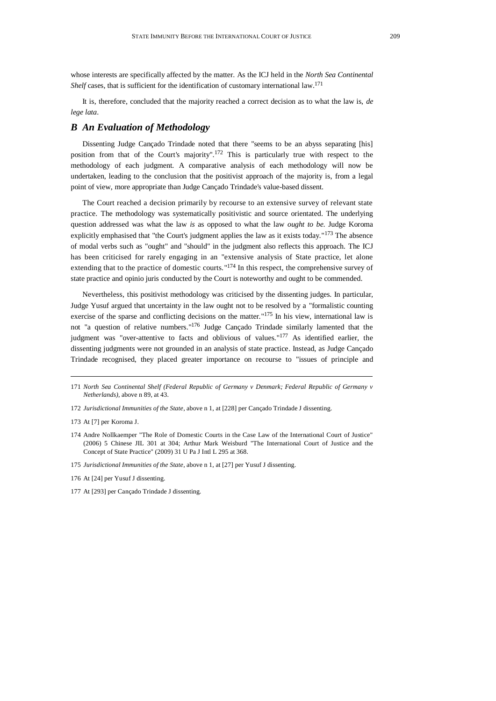whose interests are specifically affected by the matter. As the ICJ held in the *North Sea Continental*  Shelf cases, that is sufficient for the identification of customary international law.<sup>171</sup>

It is, therefore, concluded that the majority reached a correct decision as to what the law is, *de lege lata*.

# *B An Evaluation of Methodology*

Dissenting Judge Cançado Trindade noted that there "seems to be an abyss separating [his] position from that of the Court's majority".<sup>172</sup> This is particularly true with respect to the methodology of each judgment. A comparative analysis of each methodology will now be undertaken, leading to the conclusion that the positivist approach of the majority is, from a legal point of view, more appropriate than Judge Cançado Trindade's value-based dissent.

The Court reached a decision primarily by recourse to an extensive survey of relevant state practice. The methodology was systematically positivistic and source orientated. The underlying question addressed was what the law *is* as opposed to what the law *ought to be*. Judge Koroma explicitly emphasised that "the Court's judgment applies the law as it exists today."<sup>173</sup> The absence of modal verbs such as "ought" and "should" in the judgment also reflects this approach. The ICJ has been criticised for rarely engaging in an "extensive analysis of State practice, let alone extending that to the practice of domestic courts."<sup>174</sup> In this respect, the comprehensive survey of state practice and opinio juris conducted by the Court is noteworthy and ought to be commended.

Nevertheless, this positivist methodology was criticised by the dissenting judges. In particular, Judge Yusuf argued that uncertainty in the law ought not to be resolved by a "formalistic counting exercise of the sparse and conflicting decisions on the matter."<sup>175</sup> In his view, international law is not "a question of relative numbers." <sup>176</sup> Judge Cançado Trindade similarly lamented that the judgment was "over-attentive to facts and oblivious of values."<sup>177</sup> As identified earlier, the dissenting judgments were not grounded in an analysis of state practice. Instead, as Judge Cançado Trindade recognised, they placed greater importance on recourse to "issues of principle and

<sup>171</sup> *North Sea Continental Shelf (Federal Republic of Germany v Denmark; Federal Republic of Germany v Netherlands)*, above n [89,](#page-10-1) at 43.

<sup>172</sup> *Jurisdictional Immunities of the State*, above [n 1,](#page-0-0) at [228] per Cançado Trindade J dissenting.

<sup>173</sup> At [7] per Koroma J.

<sup>174</sup> Andre Nollkaemper "The Role of Domestic Courts in the Case Law of the International Court of Justice" (2006) 5 Chinese JIL 301 at 304; Arthur Mark Weisburd "The International Court of Justice and the Concept of State Practice" (2009) 31 U Pa J Intl L 295 at 368.

<sup>175</sup> *Jurisdictional Immunities of the State*, above [n 1,](#page-0-0) at [27] per Yusuf J dissenting.

<sup>176</sup> At [24] per Yusuf J dissenting.

<sup>177</sup> At [293] per Cançado Trindade J dissenting.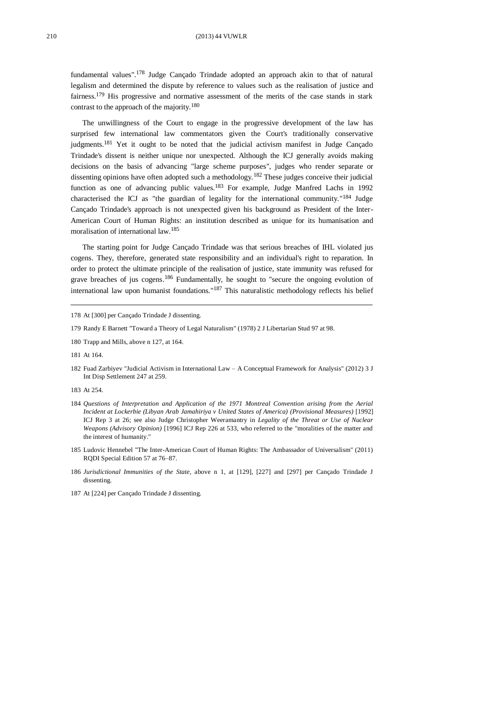fundamental values".<sup>178</sup> Judge Cançado Trindade adopted an approach akin to that of natural legalism and determined the dispute by reference to values such as the realisation of justice and fairness.<sup>179</sup> His progressive and normative assessment of the merits of the case stands in stark contrast to the approach of the majority.<sup>180</sup>

<span id="page-21-0"></span>The unwillingness of the Court to engage in the progressive development of the law has surprised few international law commentators given the Court's traditionally conservative judgments.<sup>181</sup> Yet it ought to be noted that the judicial activism manifest in Judge Cançado Trindade's dissent is neither unique nor unexpected. Although the ICJ generally avoids making decisions on the basis of advancing "large scheme purposes", judges who render separate or dissenting opinions have often adopted such a methodology.<sup>182</sup> These judges conceive their judicial function as one of advancing public values.<sup>183</sup> For example, Judge Manfred Lachs in 1992 characterised the ICJ as "the guardian of legality for the international community."<sup>184</sup> Judge Cançado Trindade's approach is not unexpected given his background as President of the Inter-American Court of Human Rights: an institution described as unique for its humanisation and moralisation of international law.<sup>185</sup>

The starting point for Judge Cançado Trindade was that serious breaches of IHL violated jus cogens. They, therefore, generated state responsibility and an individual's right to reparation. In order to protect the ultimate principle of the realisation of justice, state immunity was refused for grave breaches of jus cogens.<sup>186</sup> Fundamentally, he sought to "secure the ongoing evolution of international law upon humanist foundations."<sup>187</sup> This naturalistic methodology reflects his belief

- 179 Randy E Barnett "Toward a Theory of Legal Naturalism" (1978) 2 J Libertarian Stud 97 at 98.
- 180 Trapp and Mills, above [n 127,](#page-15-0) at 164.
- 181 At 164.
- 182 Fuad Zarbiyev "Judicial Activism in International Law A Conceptual Framework for Analysis" (2012) 3 J Int Disp Settlement 247 at 259.

183 At 254.

- 184 *Questions of Interpretation and Application of the 1971 Montreal Convention arising from the Aerial Incident at Lockerbie (Libyan Arab Jamahiriya v United States of America) (Provisional Measures)* [1992] ICJ Rep 3 at 26; see also Judge Christopher Weeramantry in *Legality of the Threat or Use of Nuclear Weapons (Advisory Opinion)* [1996] ICJ Rep 226 at 533, who referred to the "moralities of the matter and the interest of humanity."
- 185 Ludovic Hennebel "The Inter-American Court of Human Rights: The Ambassador of Universalism" (2011) RQDI Special Edition 57 at 76–87.
- 186 *Jurisdictional Immunities of the State*, above n [1,](#page-0-0) at [129], [227] and [297] per Cançado Trindade J dissenting.
- 187 At [224] per Cançado Trindade J dissenting.

<sup>178</sup> At [300] per Cançado Trindade J dissenting.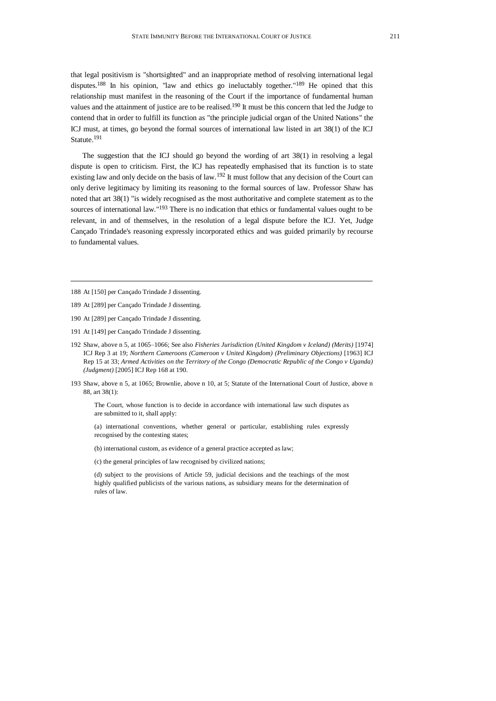that legal positivism is "shortsighted" and an inappropriate method of resolving international legal disputes.<sup>188</sup> In his opinion, "law and ethics go ineluctably together."<sup>189</sup> He opined that this relationship must manifest in the reasoning of the Court if the importance of fundamental human values and the attainment of justice are to be realised.<sup>190</sup> It must be this concern that led the Judge to contend that in order to fulfill its function as "the principle judicial organ of the United Nations" the ICJ must, at times, go beyond the formal sources of international law listed in art 38(1) of the ICJ Statute.<sup>191</sup>

The suggestion that the ICJ should go beyond the wording of art 38(1) in resolving a legal dispute is open to criticism. First, the ICJ has repeatedly emphasised that its function is to state existing law and only decide on the basis of law.<sup>192</sup> It must follow that any decision of the Court can only derive legitimacy by limiting its reasoning to the formal sources of law. Professor Shaw has noted that art 38(1) "is widely recognised as the most authoritative and complete statement as to the sources of international law."<sup>193</sup> There is no indication that ethics or fundamental values ought to be relevant, in and of themselves, in the resolution of a legal dispute before the ICJ. Yet, Judge Cançado Trindade's reasoning expressly incorporated ethics and was guided primarily by recourse to fundamental values.

- 190 At [289] per Cançado Trindade J dissenting.
- 191 At [149] per Cançado Trindade J dissenting.
- 192 Shaw, above n [5,](#page-1-1) at 1065–1066; See also *Fisheries Jurisdiction (United Kingdom v Iceland) (Merits)* [1974] ICJ Rep 3 at 19; *Northern Cameroons (Cameroon v United Kingdom) (Preliminary Objections)* [1963] ICJ Rep 15 at 33; *Armed Activities on the Territory of the Congo (Democratic Republic of the Congo v Uganda) (Judgment)* [2005] ICJ Rep 168 at 190.
- 193 Shaw, above n [5,](#page-1-1) at 1065; Brownlie, above n [10,](#page-2-0) at 5; Statute of the International Court of Justice, above n [88,](#page-10-0) art 38(1):

The Court, whose function is to decide in accordance with international law such disputes as are submitted to it, shall apply:

(a) international conventions, whether general or particular, establishing rules expressly recognised by the contesting states;

- (b) international custom, as evidence of a general practice accepted as law;
- (c) the general principles of law recognised by civilized nations;

(d) subject to the provisions of Article 59, judicial decisions and the teachings of the most highly qualified publicists of the various nations, as subsidiary means for the determination of rules of law.

<sup>188</sup> At [150] per Cançado Trindade J dissenting.

<sup>189</sup> At [289] per Cançado Trindade J dissenting.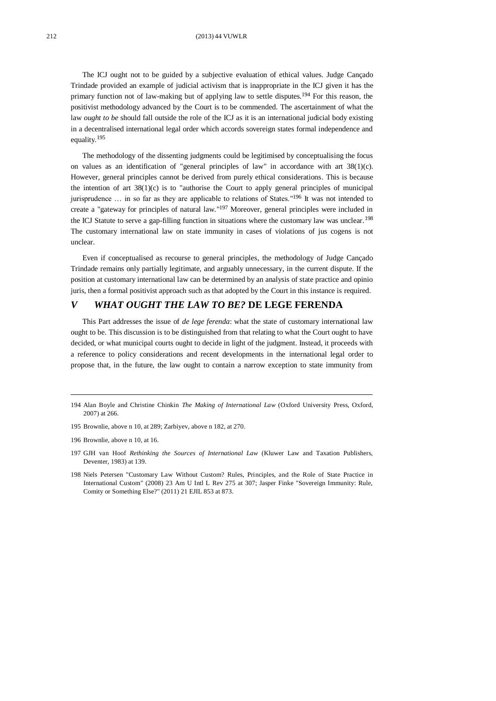<span id="page-23-0"></span>The ICJ ought not to be guided by a subjective evaluation of ethical values. Judge Cançado Trindade provided an example of judicial activism that is inappropriate in the ICJ given it has the primary function not of law-making but of applying law to settle disputes.<sup>194</sup> For this reason, the positivist methodology advanced by the Court is to be commended. The ascertainment of what the law *ought to be* should fall outside the role of the ICJ as it is an international judicial body existing in a decentralised international legal order which accords sovereign states formal independence and equality.<sup>195</sup>

The methodology of the dissenting judgments could be legitimised by conceptualising the focus on values as an identification of "general principles of law" in accordance with art  $38(1)(c)$ . However, general principles cannot be derived from purely ethical considerations. This is because the intention of art  $38(1)(c)$  is to "authorise the Court to apply general principles of municipal jurisprudence ... in so far as they are applicable to relations of States."<sup>196</sup> It was not intended to create a "gateway for principles of natural law."<sup>197</sup> Moreover, general principles were included in the ICJ Statute to serve a gap-filling function in situations where the customary law was unclear.<sup>198</sup> The customary international law on state immunity in cases of violations of jus cogens is not unclear.

Even if conceptualised as recourse to general principles, the methodology of Judge Cançado Trindade remains only partially legitimate, and arguably unnecessary, in the current dispute. If the position at customary international law can be determined by an analysis of state practice and opinio juris, then a formal positivist approach such as that adopted by the Court in this instance is required.

# *V WHAT OUGHT THE LAW TO BE?* **DE LEGE FERENDA**

This Part addresses the issue of *de lege ferenda*: what the state of customary international law ought to be. This discussion is to be distinguished from that relating to what the Court ought to have decided, or what municipal courts ought to decide in light of the judgment. Instead, it proceeds with a reference to policy considerations and recent developments in the international legal order to propose that, in the future, the law ought to contain a narrow exception to state immunity from

<sup>194</sup> Alan Boyle and Christine Chinkin *The Making of International Law* (Oxford University Press, Oxford, 2007) at 266.

<sup>195</sup> Brownlie, above n [10,](#page-2-0) at 289; Zarbiyev, above n [182,](#page-21-0) at 270.

<sup>196</sup> Brownlie, above n [10,](#page-2-0) at 16.

<sup>197</sup> GJH van Hoof *Rethinking the Sources of International Law* (Kluwer Law and Taxation Publishers, Deventer, 1983) at 139.

<sup>198</sup> Niels Petersen "Customary Law Without Custom? Rules, Principles, and the Role of State Practice in International Custom" (2008) 23 Am U Intl L Rev 275 at 307; Jasper Finke "Sovereign Immunity: Rule, Comity or Something Else?" (2011) 21 EJIL 853 at 873.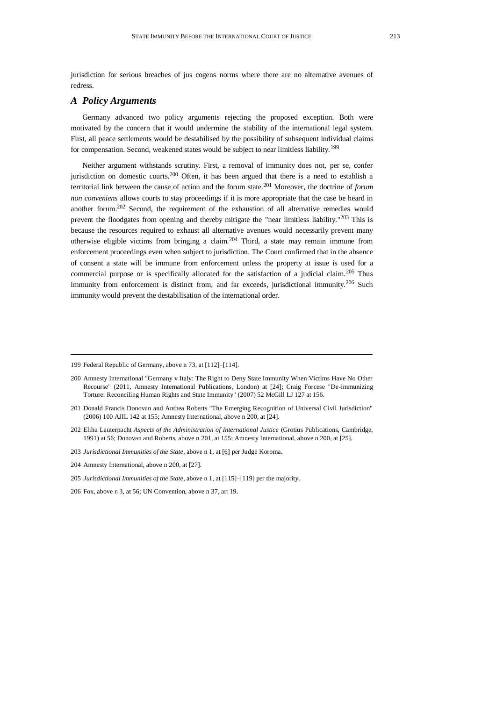jurisdiction for serious breaches of jus cogens norms where there are no alternative avenues of redress.

## *A Policy Arguments*

Germany advanced two policy arguments rejecting the proposed exception. Both were motivated by the concern that it would undermine the stability of the international legal system. First, all peace settlements would be destabilised by the possibility of subsequent individual claims for compensation. Second, weakened states would be subject to near limitless liability.<sup>199</sup>

<span id="page-24-1"></span><span id="page-24-0"></span>Neither argument withstands scrutiny. First, a removal of immunity does not, per se, confer jurisdiction on domestic courts.<sup>200</sup> Often, it has been argued that there is a need to establish a territorial link between the cause of action and the forum state.<sup>201</sup> Moreover, the doctrine of *forum non conveniens* allows courts to stay proceedings if it is more appropriate that the case be heard in another forum.<sup>202</sup> Second, the requirement of the exhaustion of all alternative remedies would prevent the floodgates from opening and thereby mitigate the "near limitless liability."<sup>203</sup> This is because the resources required to exhaust all alternative avenues would necessarily prevent many otherwise eligible victims from bringing a claim.<sup>204</sup> Third, a state may remain immune from enforcement proceedings even when subject to jurisdiction. The Court confirmed that in the absence of consent a state will be immune from enforcement unless the property at issue is used for a commercial purpose or is specifically allocated for the satisfaction of a judicial claim.<sup>205</sup> Thus immunity from enforcement is distinct from, and far exceeds, jurisdictional immunity.<sup>206</sup> Such immunity would prevent the destabilisation of the international order.

203 *Jurisdictional Immunities of the State*, above [n 1,](#page-0-0) at [6] per Judge Koroma.

<sup>199</sup> Federal Republic of Germany, above [n 73,](#page-8-0) at [112]–[114].

<sup>200</sup> Amnesty International "Germany v Italy: The Right to Deny State Immunity When Victims Have No Other Recourse" (2011, Amnesty International Publications, London) at [24]; Craig Forcese "De-immunizing Torture: Reconciling Human Rights and State Immunity" (2007) 52 McGill LJ 127 at 156.

<sup>201</sup> Donald Francis Donovan and Anthea Roberts "The Emerging Recognition of Universal Civil Jurisdiction" (2006) 100 AJIL 142 at 155; Amnesty International, above [n 200,](#page-24-0) at [24].

<sup>202</sup> Elihu Lauterpacht *Aspects of the Administration of International Justice* (Grotius Publications, Cambridge, 1991) at 56; Donovan and Roberts, above [n 201,](#page-24-1) at 155; Amnesty International, above [n 200,](#page-24-0) at [25].

<sup>204</sup> Amnesty International, above n [200,](#page-24-0) at [27].

<sup>205</sup> *Jurisdictional Immunities of the State*, above [n 1,](#page-0-0) at [115]–[119] per the majority.

<sup>206</sup> Fox, above [n 3,](#page-1-2) at 56; UN Convention, above [n 37,](#page-4-0) art 19.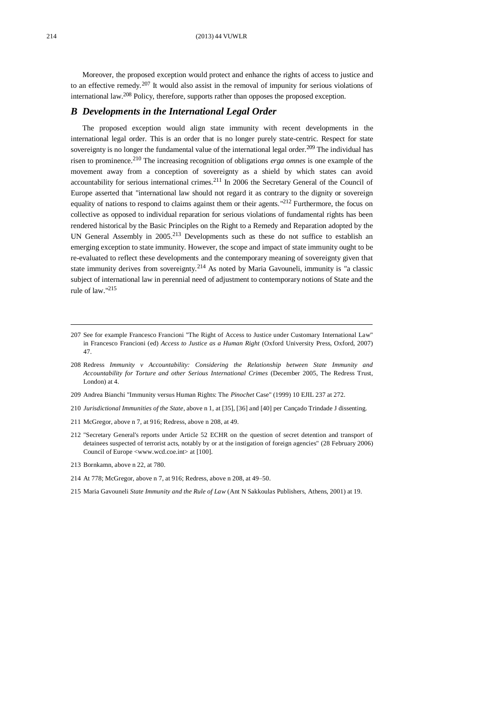Moreover, the proposed exception would protect and enhance the rights of access to justice and to an effective remedy.<sup>207</sup> It would also assist in the removal of impunity for serious violations of international law.<sup>208</sup> Policy, therefore, supports rather than opposes the proposed exception.

## <span id="page-25-0"></span>*B Developments in the International Legal Order*

The proposed exception would align state immunity with recent developments in the international legal order. This is an order that is no longer purely state-centric. Respect for state sovereignty is no longer the fundamental value of the international legal order.<sup>209</sup> The individual has risen to prominence.<sup>210</sup> The increasing recognition of obligations *erga omnes* is one example of the movement away from a conception of sovereignty as a shield by which states can avoid accountability for serious international crimes.<sup>211</sup> In 2006 the Secretary General of the Council of Europe asserted that "international law should not regard it as contrary to the dignity or sovereign equality of nations to respond to claims against them or their agents."<sup>212</sup> Furthermore, the focus on collective as opposed to individual reparation for serious violations of fundamental rights has been rendered historical by the Basic Principles on the Right to a Remedy and Reparation adopted by the UN General Assembly in 2005.<sup>213</sup> Developments such as these do not suffice to establish an emerging exception to state immunity. However, the scope and impact of state immunity ought to be re-evaluated to reflect these developments and the contemporary meaning of sovereignty given that state immunity derives from sovereignty.<sup>214</sup> As noted by Maria Gavouneli, immunity is "a classic subject of international law in perennial need of adjustment to contemporary notions of State and the rule of law." 215

- 209 Andrea Bianchi "Immunity versus Human Rights: The *Pinochet* Case" (1999) 10 EJIL 237 at 272.
- 210 *Jurisdictional Immunities of the State*, above n 1, at [35], [36] and [40] per Cançado Trindade J dissenting.
- 211 McGregor, above [n 7,](#page-1-0) at 916; Redress, above n [208,](#page-25-0) at 49.
- 212 "Secretary General's reports under Article 52 ECHR on the question of secret detention and transport of detainees suspected of terrorist acts, notably by or at the instigation of foreign agencies" (28 February 2006) Council of Europe <www.wcd.coe.int> at [100].
- 213 Bornkamn, above n [22,](#page-3-0) at 780.
- 214 At 778; McGregor, above [n 7,](#page-1-0) at 916; Redress, above [n 208,](#page-25-0) at 49–50.
- 215 Maria Gavouneli *State Immunity and the Rule of Law* (Ant N Sakkoulas Publishers, Athens, 2001) at 19.

<sup>207</sup> See for example Francesco Francioni "The Right of Access to Justice under Customary International Law" in Francesco Francioni (ed) *Access to Justice as a Human Right* (Oxford University Press, Oxford, 2007) 47.

<sup>208</sup> Redress *Immunity v Accountability: Considering the Relationship between State Immunity and Accountability for Torture and other Serious International Crimes* (December 2005, The Redress Trust, London) at 4.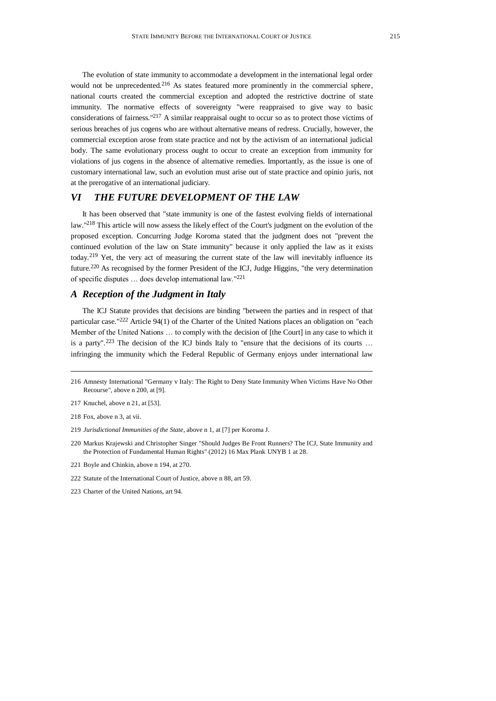The evolution of state immunity to accommodate a development in the international legal order would not be unprecedented.<sup>216</sup> As states featured more prominently in the commercial sphere, national courts created the commercial exception and adopted the restrictive doctrine of state immunity. The normative effects of sovereignty "were reappraised to give way to basic considerations of fairness."<sup>217</sup> A similar reappraisal ought to occur so as to protect those victims of serious breaches of jus cogens who are without alternative means of redress. Crucially, however, the commercial exception arose from state practice and not by the activism of an international judicial body. The same evolutionary process ought to occur to create an exception from immunity for violations of jus cogens in the absence of alternative remedies. Importantly, as the issue is one of customary international law, such an evolution must arise out of state practice and opinio juris, not at the prerogative of an international judiciary.

# *VI THE FUTURE DEVELOPMENT OF THE LAW*

It has been observed that "state immunity is one of the fastest evolving fields of international law."<sup>218</sup> This article will now assess the likely effect of the Court's judgment on the evolution of the proposed exception. Concurring Judge Koroma stated that the judgment does not "prevent the continued evolution of the law on State immunity" because it only applied the law as it exists today.<sup>219</sup> Yet, the very act of measuring the current state of the law will inevitably influence its future.<sup>220</sup> As recognised by the former President of the ICJ, Judge Higgins, "the very determination of specific disputes … does develop international law." 221

## *A Reception of the Judgment in Italy*

The ICJ Statute provides that decisions are binding "between the parties and in respect of that particular case."<sup>222</sup> Article 94(1) of the Charter of the United Nations places an obligation on "each Member of the United Nations … to comply with the decision of [the Court] in any case to which it is a party".<sup>223</sup> The decision of the ICJ binds Italy to "ensure that the decisions of its courts ... infringing the immunity which the Federal Republic of Germany enjoys under international law

218 Fox, above [n 3,](#page-1-2) at vii.

- 219 *Jurisdictional Immunities of the State*, above [n 1,](#page-0-0) at [7] per Koroma J.
- 220 Markus Krajewski and Christopher Singer "Should Judges Be Front Runners? The ICJ, State Immunity and the Protection of Fundamental Human Rights" (2012) 16 Max Plank UNYB 1 at 28.
- 221 Boyle and Chinkin, above [n 194,](#page-23-0) at 270.
- 222 Statute of the International Court of Justice, above [n 88,](#page-10-0) art 59.
- 223 Charter of the United Nations, art 94.

<sup>216</sup> Amnesty International "Germany v Italy: The Right to Deny State Immunity When Victims Have No Other Recourse", above [n 200,](#page-24-0) at [9].

<sup>217</sup> Knuchel, above [n 21,](#page-3-1) at [53].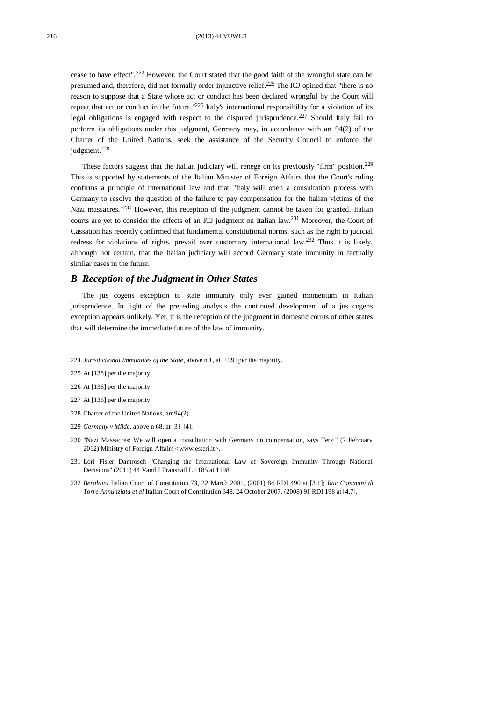cease to have effect". <sup>224</sup> However, the Court stated that the good faith of the wrongful state can be presumed and, therefore, did not formally order injunctive relief.<sup>225</sup> The ICJ opined that "there is no reason to suppose that a State whose act or conduct has been declared wrongful by the Court will repeat that act or conduct in the future.<sup>"226</sup> Italy's international responsibility for a violation of its legal obligations is engaged with respect to the disputed jurisprudence.<sup>227</sup> Should Italy fail to perform its obligations under this judgment, Germany may, in accordance with art 94(2) of the Charter of the United Nations, seek the assistance of the Security Council to enforce the judgment.<sup>228</sup>

These factors suggest that the Italian judiciary will renege on its previously "firm" position.<sup>229</sup> This is supported by statements of the Italian Minister of Foreign Affairs that the Court's ruling confirms a principle of international law and that "Italy will open a consultation process with Germany to resolve the question of the failure to pay compensation for the Italian victims of the Nazi massacres."<sup>230</sup> However, this reception of the judgment cannot be taken for granted. Italian courts are yet to consider the effects of an ICJ judgment on Italian law.<sup>231</sup> Moreover, the Court of Cassation has recently confirmed that fundamental constitutional norms, such as the right to judicial redress for violations of rights, prevail over customary international law.<sup>232</sup> Thus it is likely, although not certain, that the Italian judiciary will accord Germany state immunity in factually similar cases in the future.

## *B Reception of the Judgment in Other States*

The jus cogens exception to state immunity only ever gained momentum in Italian jurisprudence. In light of the preceding analysis the continued development of a jus cogens exception appears unlikely. Yet, it is the reception of the judgment in domestic courts of other states that will determine the immediate future of the law of immunity.

- 226 At [138] per the majority.
- 227 At [136] per the majority.
- 228 Charter of the United Nations, art 94(2).
- 229 *Germany v Milde*, above n [68,](#page-7-0) at [3]–[4].
- 230 "Nazi Massacres: We will open a consultation with Germany on compensation, says Terzi" (7 February 2012) Ministry of Foreign Affairs [<www.esteri.it>](http://www.esteri.it/).
- 231 Lori Fisler Damrosch "Changing the International Law of Sovereign Immunity Through National Decisions" (2011) 44 Vand J Transnatl L 1185 at 1198.
- 232 *Beraldini* Italian Court of Constitution 73, 22 March 2001, (2001) 84 RDI 490 at [3.1]; *Rac Communi di Torre Annunziata et al* Italian Court of Constitution 348, 24 October 2007, (2008) 91 RDI 198 at [4.7].

<sup>224</sup> *Jurisdictional Immunities of the State*, above [n 1,](#page-0-0) at [139] per the majority.

<sup>225</sup> At [138] per the majority.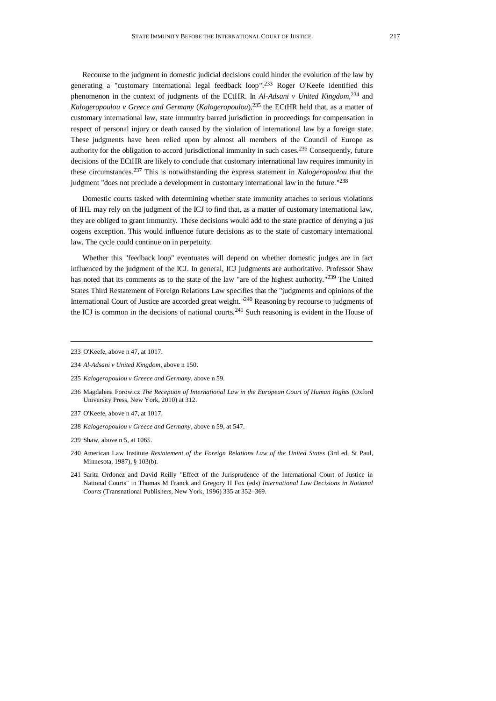Recourse to the judgment in domestic judicial decisions could hinder the evolution of the law by generating a "customary international legal feedback loop".<sup>233</sup> Roger O'Keefe identified this phenomenon in the context of judgments of the ECtHR. In *Al-Adsani v United Kingdom*, <sup>234</sup> and *Kalogeropoulou v Greece and Germany* (*Kalogeropoulou*),<sup>235</sup> the ECtHR held that, as a matter of customary international law, state immunity barred jurisdiction in proceedings for compensation in respect of personal injury or death caused by the violation of international law by a foreign state. These judgments have been relied upon by almost all members of the Council of Europe as authority for the obligation to accord jurisdictional immunity in such cases.<sup>236</sup> Consequently, future decisions of the ECtHR are likely to conclude that customary international law requires immunity in these circumstances.<sup>237</sup> This is notwithstanding the express statement in *Kalogeropoulou* that the judgment "does not preclude a development in customary international law in the future."<sup>238</sup>

Domestic courts tasked with determining whether state immunity attaches to serious violations of IHL may rely on the judgment of the ICJ to find that, as a matter of customary international law, they are obliged to grant immunity. These decisions would add to the state practice of denying a jus cogens exception. This would influence future decisions as to the state of customary international law. The cycle could continue on in perpetuity.

Whether this "feedback loop" eventuates will depend on whether domestic judges are in fact influenced by the judgment of the ICJ. In general, ICJ judgments are authoritative. Professor Shaw has noted that its comments as to the state of the law "are of the highest authority."<sup>239</sup> The United States Third Restatement of Foreign Relations Law specifies that the "judgments and opinions of the International Court of Justice are accorded great weight."<sup>240</sup> Reasoning by recourse to judgments of the ICJ is common in the decisions of national courts.<sup>241</sup> Such reasoning is evident in the House of

- 236 Magdalena Forowicz *The Reception of International Law in the European Court of Human Rights* (Oxford University Press, New York, 2010) at 312.
- 237 O'Keefe, above [n 47,](#page-5-0) at 1017.
- 238 *Kalogeropoulou v Greece and Germany*, above n [59,](#page-6-2) at 547.
- 239 Shaw, above n [5,](#page-1-1) at 1065.
- 240 American Law Institute *Restatement of the Foreign Relations Law of the United States* (3rd ed, St Paul, Minnesota, 1987), § 103(b).
- 241 Sarita Ordonez and David Reilly "Effect of the Jurisprudence of the International Court of Justice in National Courts" in Thomas M Franck and Gregory H Fox (eds) *International Law Decisions in National Courts* (Transnational Publishers, New York, 1996) 335 at 352–369.

<sup>233</sup> O'Keefe, above [n 47,](#page-5-0) at 1017.

<sup>234</sup> *Al-Adsani v United Kingdom*, above n [150.](#page-17-1) 

<sup>235</sup> *Kalogeropoulou v Greece and Germany*, above n [59.](#page-6-2)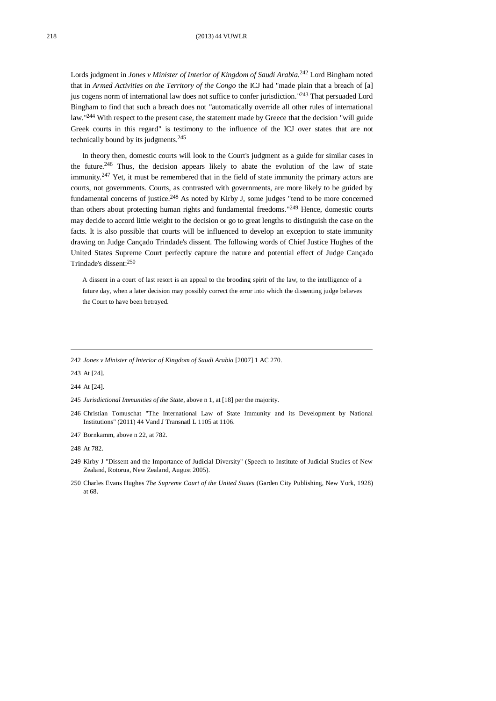Lords judgment in *Jones v Minister of Interior of Kingdom of Saudi Arabia.*<sup>242</sup> Lord Bingham noted that in *Armed Activities on the Territory of the Congo* the ICJ had "made plain that a breach of [a] jus cogens norm of international law does not suffice to confer jurisdiction." <sup>243</sup> That persuaded Lord Bingham to find that such a breach does not "automatically override all other rules of international law."<sup>244</sup> With respect to the present case, the statement made by Greece that the decision "will guide Greek courts in this regard" is testimony to the influence of the ICJ over states that are not technically bound by its judgments.<sup>245</sup>

In theory then, domestic courts will look to the Court's judgment as a guide for similar cases in the future.<sup>246</sup> Thus, the decision appears likely to abate the evolution of the law of state immunity.<sup>247</sup> Yet, it must be remembered that in the field of state immunity the primary actors are courts, not governments. Courts, as contrasted with governments, are more likely to be guided by fundamental concerns of justice.<sup>248</sup> As noted by Kirby J, some judges "tend to be more concerned than others about protecting human rights and fundamental freedoms."<sup>249</sup> Hence, domestic courts may decide to accord little weight to the decision or go to great lengths to distinguish the case on the facts. It is also possible that courts will be influenced to develop an exception to state immunity drawing on Judge Cançado Trindade's dissent. The following words of Chief Justice Hughes of the United States Supreme Court perfectly capture the nature and potential effect of Judge Cançado Trindade's dissent: 250

A dissent in a court of last resort is an appeal to the brooding spirit of the law, to the intelligence of a future day, when a later decision may possibly correct the error into which the dissenting judge believes the Court to have been betrayed.

243 At [24].

244 At [24].

247 Bornkamm, above n [22,](#page-3-0) at 782.

248 At 782.

<sup>242</sup> *Jones v Minister of Interior of Kingdom of Saudi Arabia* [2007] 1 AC 270.

<sup>245</sup> *Jurisdictional Immunities of the State*, above [n 1,](#page-0-0) at [18] per the majority.

<sup>246</sup> Christian Tomuschat "The International Law of State Immunity and its Development by National Institutions" (2011) 44 Vand J Transnatl L 1105 at 1106.

<sup>249</sup> Kirby J "Dissent and the Importance of Judicial Diversity" (Speech to Institute of Judicial Studies of New Zealand, Rotorua, New Zealand, August 2005).

<sup>250</sup> Charles Evans Hughes *The Supreme Court of the United States* (Garden City Publishing, New York, 1928) at 68.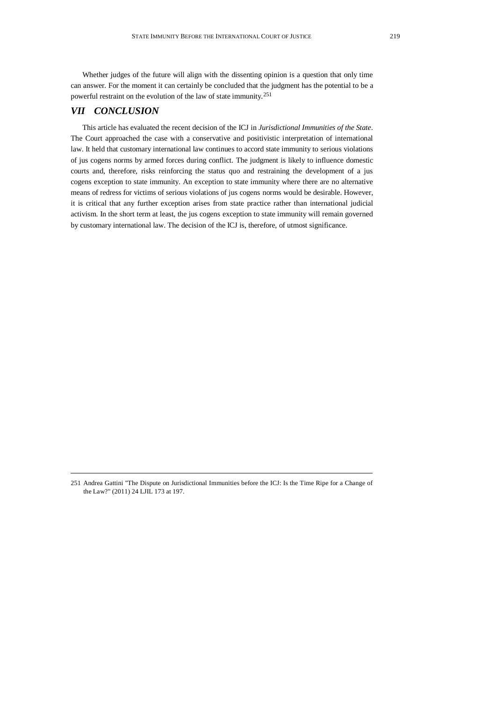Whether judges of the future will align with the dissenting opinion is a question that only time can answer. For the moment it can certainly be concluded that the judgment has the potential to be a powerful restraint on the evolution of the law of state immunity.<sup>251</sup>

# *VII CONCLUSION*

This article has evaluated the recent decision of the ICJ in *Jurisdictional Immunities of the State*. The Court approached the case with a conservative and positivistic interpretation of international law. It held that customary international law continues to accord state immunity to serious violations of jus cogens norms by armed forces during conflict. The judgment is likely to influence domestic courts and, therefore, risks reinforcing the status quo and restraining the development of a jus cogens exception to state immunity. An exception to state immunity where there are no alternative means of redress for victims of serious violations of jus cogens norms would be desirable. However, it is critical that any further exception arises from state practice rather than international judicial activism. In the short term at least, the jus cogens exception to state immunity will remain governed by customary international law. The decision of the ICJ is, therefore, of utmost significance.

<sup>251</sup> Andrea Gattini "The Dispute on Jurisdictional Immunities before the ICJ: Is the Time Ripe for a Change of the Law?" (2011) 24 LJIL 173 at 197.